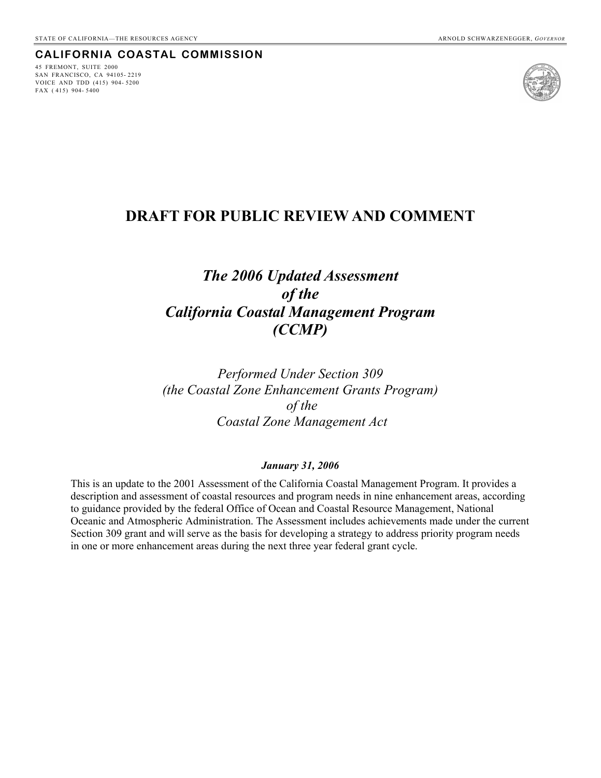#### **CALIFORNIA COASTAL COMMISSION**

45 FREMONT, SUITE 2000 SAN FRANCISCO, CA 94105- 2219 VOICE AND TDD (415) 904- 5200 FAX ( 415) 904- 5400



# **DRAFT FOR PUBLIC REVIEW AND COMMENT**

# *The 2006 Updated Assessment of the California Coastal Management Program (CCMP)*

*Performed Under Section 309 (the Coastal Zone Enhancement Grants Program) of the Coastal Zone Management Act* 

#### *January 31, 2006*

This is an update to the 2001 Assessment of the California Coastal Management Program. It provides a description and assessment of coastal resources and program needs in nine enhancement areas, according to guidance provided by the federal Office of Ocean and Coastal Resource Management, National Oceanic and Atmospheric Administration. The Assessment includes achievements made under the current Section 309 grant and will serve as the basis for developing a strategy to address priority program needs in one or more enhancement areas during the next three year federal grant cycle.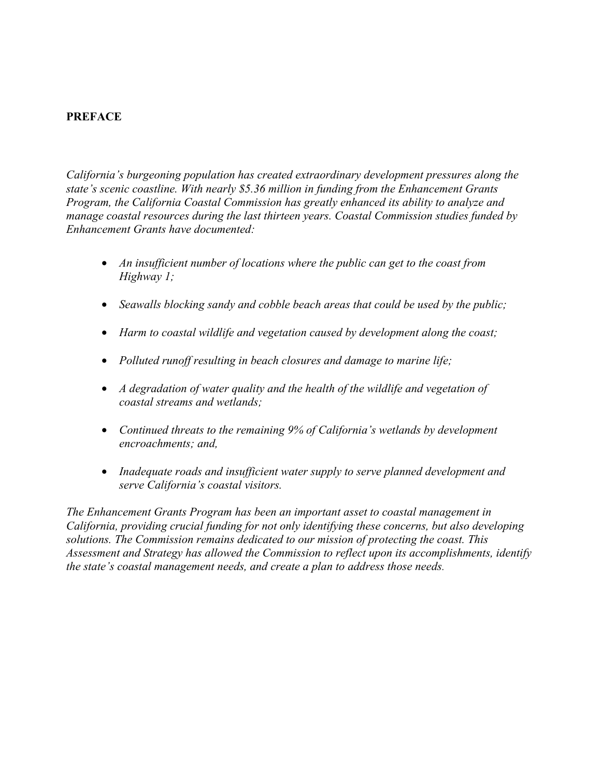## **PREFACE**

*California's burgeoning population has created extraordinary development pressures along the state's scenic coastline. With nearly \$5.36 million in funding from the Enhancement Grants Program, the California Coastal Commission has greatly enhanced its ability to analyze and manage coastal resources during the last thirteen years. Coastal Commission studies funded by Enhancement Grants have documented:* 

- *An insufficient number of locations where the public can get to the coast from Highway 1;*
- *Seawalls blocking sandy and cobble beach areas that could be used by the public;*
- *Harm to coastal wildlife and vegetation caused by development along the coast;*
- *Polluted runoff resulting in beach closures and damage to marine life;*
- *A degradation of water quality and the health of the wildlife and vegetation of coastal streams and wetlands;*
- *Continued threats to the remaining 9% of California's wetlands by development encroachments; and,*
- *Inadequate roads and insufficient water supply to serve planned development and serve California's coastal visitors.*

*The Enhancement Grants Program has been an important asset to coastal management in California, providing crucial funding for not only identifying these concerns, but also developing solutions. The Commission remains dedicated to our mission of protecting the coast. This Assessment and Strategy has allowed the Commission to reflect upon its accomplishments, identify the state's coastal management needs, and create a plan to address those needs.*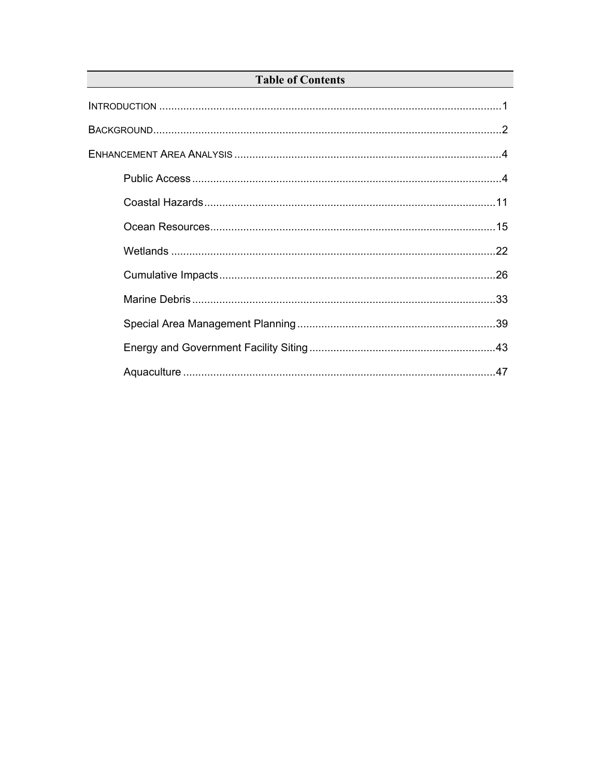## **Table of Contents**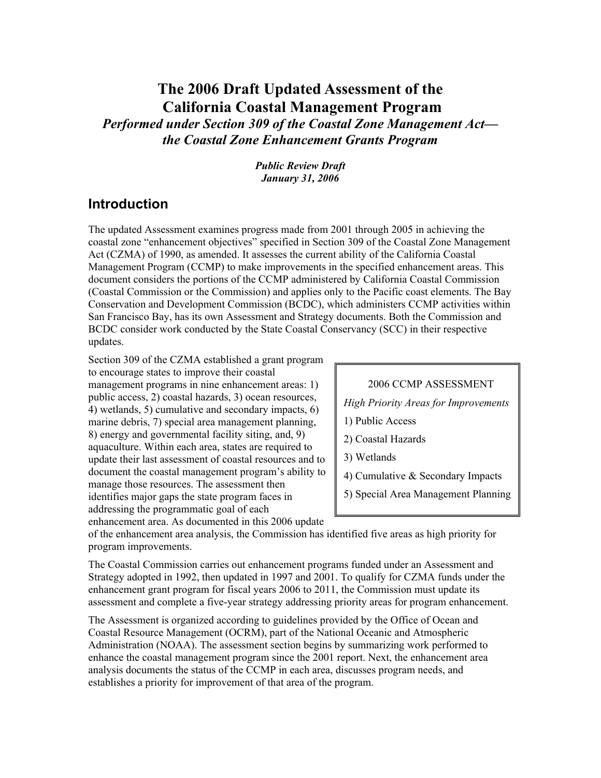# **The 2006 Draft Updated Assessment of the California Coastal Management Program**

*Performed under Section 309 of the Coastal Zone Management Act the Coastal Zone Enhancement Grants Program*

> *Public Review Draft January 31, 2006*

## **Introduction**

The updated Assessment examines progress made from 2001 through 2005 in achieving the coastal zone "enhancement objectives" specified in Section 309 of the Coastal Zone Management Act (CZMA) of 1990, as amended. It assesses the current ability of the California Coastal Management Program (CCMP) to make improvements in the specified enhancement areas. This document considers the portions of the CCMP administered by California Coastal Commission (Coastal Commission or the Commission) and applies only to the Pacific coast elements. The Bay Conservation and Development Commission (BCDC), which administers CCMP activities within San Francisco Bay, has its own Assessment and Strategy documents. Both the Commission and BCDC consider work conducted by the State Coastal Conservancy (SCC) in their respective updates.

Section 309 of the CZMA established a grant program to encourage states to improve their coastal management programs in nine enhancement areas: 1) public access, 2) coastal hazards, 3) ocean resources, 4) wetlands, 5) cumulative and secondary impacts, 6) marine debris, 7) special area management planning, 8) energy and governmental facility siting, and, 9) aquaculture. Within each area, states are required to update their last assessment of coastal resources and to document the coastal management program's ability to manage those resources. The assessment then identifies major gaps the state program faces in addressing the programmatic goal of each enhancement area. As documented in this 2006 update

2006 CCMP ASSESSMENT *High Priority Areas for Improvements*  1) Public Access 2) Coastal Hazards 3) Wetlands 4) Cumulative & Secondary Impacts 5) Special Area Management Planning

of the enhancement area analysis, the Commission has identified five areas as high priority for program improvements.

The Coastal Commission carries out enhancement programs funded under an Assessment and Strategy adopted in 1992, then updated in 1997 and 2001. To qualify for CZMA funds under the enhancement grant program for fiscal years 2006 to 2011, the Commission must update its assessment and complete a five-year strategy addressing priority areas for program enhancement.

The Assessment is organized according to guidelines provided by the Office of Ocean and Coastal Resource Management (OCRM), part of the National Oceanic and Atmospheric Administration (NOAA). The assessment section begins by summarizing work performed to enhance the coastal management program since the 2001 report. Next, the enhancement area analysis documents the status of the CCMP in each area, discusses program needs, and establishes a priority for improvement of that area of the program.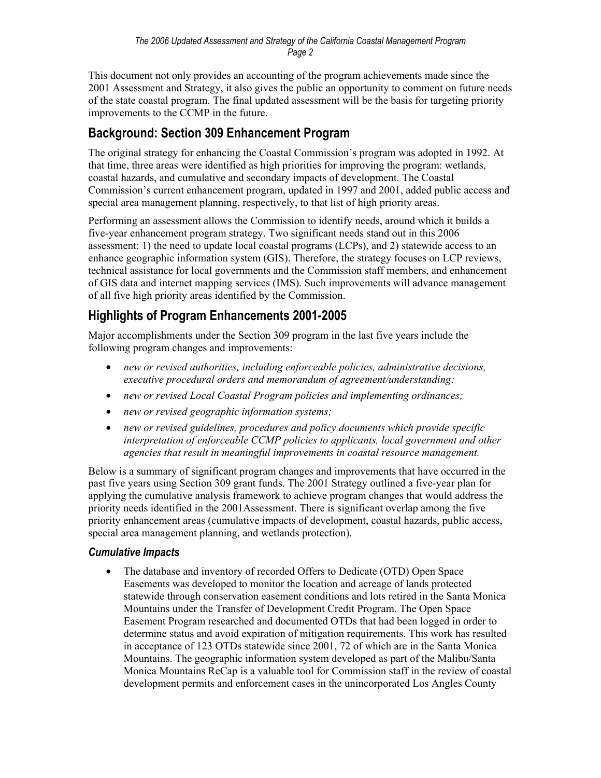This document not only provides an accounting of the program achievements made since the 2001 Assessment and Strategy, it also gives the public an opportunity to comment on future needs of the state coastal program. The final updated assessment will be the basis for targeting priority improvements to the CCMP in the future.

# **Background: Section 309 Enhancement Program**

The original strategy for enhancing the Coastal Commission's program was adopted in 1992. At that time, three areas were identified as high priorities for improving the program: wetlands, coastal hazards, and cumulative and secondary impacts of development. The Coastal Commission's current enhancement program, updated in 1997 and 2001, added public access and special area management planning, respectively, to that list of high priority areas.

Performing an assessment allows the Commission to identify needs, around which it builds a five-year enhancement program strategy. Two significant needs stand out in this 2006 assessment: 1) the need to update local coastal programs (LCPs), and 2) statewide access to an enhance geographic information system (GIS). Therefore, the strategy focuses on LCP reviews, technical assistance for local governments and the Commission staff members, and enhancement of GIS data and internet mapping services (IMS). Such improvements will advance management of all five high priority areas identified by the Commission.

## **Highlights of Program Enhancements 2001-2005**

Major accomplishments under the Section 309 program in the last five years include the following program changes and improvements:

- *new or revised authorities, including enforceable policies, administrative decisions, executive procedural orders and memorandum of agreement/understanding;*
- *new or revised Local Coastal Program policies and implementing ordinances;*
- *new or revised geographic information systems;*
- *new or revised guidelines, procedures and policy documents which provide specific interpretation of enforceable CCMP policies to applicants, local government and other agencies that result in meaningful improvements in coastal resource management.*

Below is a summary of significant program changes and improvements that have occurred in the past five years using Section 309 grant funds. The 2001 Strategy outlined a five-year plan for applying the cumulative analysis framework to achieve program changes that would address the priority needs identified in the 2001Assessment. There is significant overlap among the five priority enhancement areas (cumulative impacts of development, coastal hazards, public access, special area management planning, and wetlands protection).

## *Cumulative Impacts*

• The database and inventory of recorded Offers to Dedicate (OTD) Open Space Easements was developed to monitor the location and acreage of lands protected statewide through conservation easement conditions and lots retired in the Santa Monica Mountains under the Transfer of Development Credit Program. The Open Space Easement Program researched and documented OTDs that had been logged in order to determine status and avoid expiration of mitigation requirements. This work has resulted in acceptance of 123 OTDs statewide since 2001, 72 of which are in the Santa Monica Mountains. The geographic information system developed as part of the Malibu/Santa Monica Mountains ReCap is a valuable tool for Commission staff in the review of coastal development permits and enforcement cases in the unincorporated Los Angles County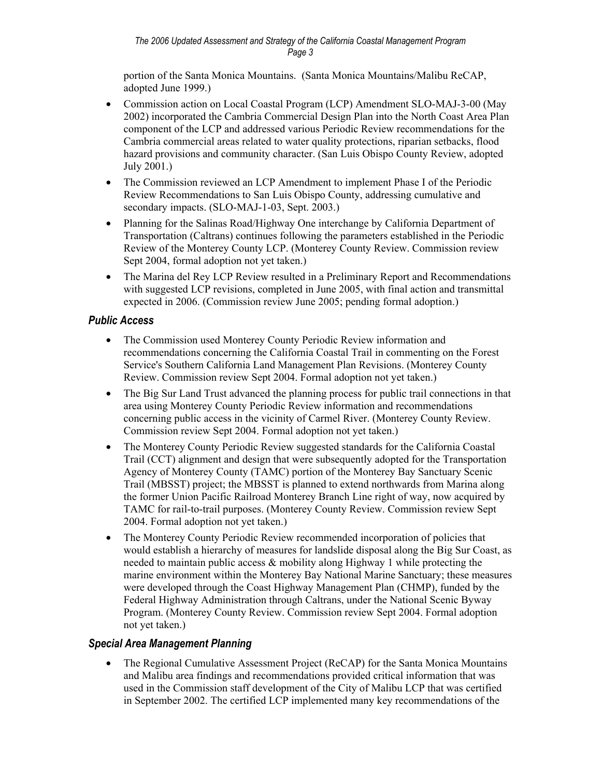portion of the Santa Monica Mountains. (Santa Monica Mountains/Malibu ReCAP, adopted June 1999.)

- Commission action on Local Coastal Program (LCP) Amendment SLO-MAJ-3-00 (May 2002) incorporated the Cambria Commercial Design Plan into the North Coast Area Plan component of the LCP and addressed various Periodic Review recommendations for the Cambria commercial areas related to water quality protections, riparian setbacks, flood hazard provisions and community character. (San Luis Obispo County Review, adopted July 2001.)
- The Commission reviewed an LCP Amendment to implement Phase I of the Periodic Review Recommendations to San Luis Obispo County, addressing cumulative and secondary impacts. (SLO-MAJ-1-03, Sept. 2003.)
- Planning for the Salinas Road/Highway One interchange by California Department of Transportation (Caltrans) continues following the parameters established in the Periodic Review of the Monterey County LCP. (Monterey County Review. Commission review Sept 2004, formal adoption not yet taken.)
- The Marina del Rey LCP Review resulted in a Preliminary Report and Recommendations with suggested LCP revisions, completed in June 2005, with final action and transmittal expected in 2006. (Commission review June 2005; pending formal adoption.)

## *Public Access*

- The Commission used Monterey County Periodic Review information and recommendations concerning the California Coastal Trail in commenting on the Forest Service's Southern California Land Management Plan Revisions. (Monterey County Review. Commission review Sept 2004. Formal adoption not yet taken.)
- The Big Sur Land Trust advanced the planning process for public trail connections in that area using Monterey County Periodic Review information and recommendations concerning public access in the vicinity of Carmel River. (Monterey County Review. Commission review Sept 2004. Formal adoption not yet taken.)
- The Monterey County Periodic Review suggested standards for the California Coastal Trail (CCT) alignment and design that were subsequently adopted for the Transportation Agency of Monterey County (TAMC) portion of the Monterey Bay Sanctuary Scenic Trail (MBSST) project; the MBSST is planned to extend northwards from Marina along the former Union Pacific Railroad Monterey Branch Line right of way, now acquired by TAMC for rail-to-trail purposes. (Monterey County Review. Commission review Sept 2004. Formal adoption not yet taken.)
- The Monterey County Periodic Review recommended incorporation of policies that would establish a hierarchy of measures for landslide disposal along the Big Sur Coast, as needed to maintain public access  $\&$  mobility along Highway 1 while protecting the marine environment within the Monterey Bay National Marine Sanctuary; these measures were developed through the Coast Highway Management Plan (CHMP), funded by the Federal Highway Administration through Caltrans, under the National Scenic Byway Program. (Monterey County Review. Commission review Sept 2004. Formal adoption not yet taken.)

## *Special Area Management Planning*

• The Regional Cumulative Assessment Project (ReCAP) for the Santa Monica Mountains and Malibu area findings and recommendations provided critical information that was used in the Commission staff development of the City of Malibu LCP that was certified in September 2002. The certified LCP implemented many key recommendations of the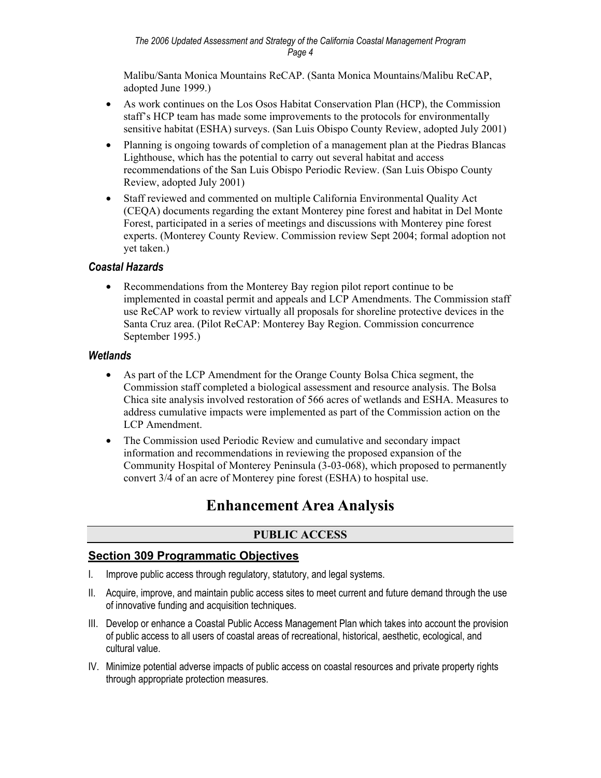Malibu/Santa Monica Mountains ReCAP. (Santa Monica Mountains/Malibu ReCAP, adopted June 1999.)

- As work continues on the Los Osos Habitat Conservation Plan (HCP), the Commission staff's HCP team has made some improvements to the protocols for environmentally sensitive habitat (ESHA) surveys. (San Luis Obispo County Review, adopted July 2001)
- Planning is ongoing towards of completion of a management plan at the Piedras Blancas Lighthouse, which has the potential to carry out several habitat and access recommendations of the San Luis Obispo Periodic Review. (San Luis Obispo County Review, adopted July 2001)
- Staff reviewed and commented on multiple California Environmental Quality Act (CEQA) documents regarding the extant Monterey pine forest and habitat in Del Monte Forest, participated in a series of meetings and discussions with Monterey pine forest experts. (Monterey County Review. Commission review Sept 2004; formal adoption not yet taken.)

## *Coastal Hazards*

• Recommendations from the Monterey Bay region pilot report continue to be implemented in coastal permit and appeals and LCP Amendments. The Commission staff use ReCAP work to review virtually all proposals for shoreline protective devices in the Santa Cruz area. (Pilot ReCAP: Monterey Bay Region. Commission concurrence September 1995.)

#### *Wetlands*

- As part of the LCP Amendment for the Orange County Bolsa Chica segment, the Commission staff completed a biological assessment and resource analysis. The Bolsa Chica site analysis involved restoration of 566 acres of wetlands and ESHA. Measures to address cumulative impacts were implemented as part of the Commission action on the LCP Amendment.
- The Commission used Periodic Review and cumulative and secondary impact information and recommendations in reviewing the proposed expansion of the Community Hospital of Monterey Peninsula (3-03-068), which proposed to permanently convert 3/4 of an acre of Monterey pine forest (ESHA) to hospital use.

# **Enhancement Area Analysis**

## **PUBLIC ACCESS**

## **Section 309 Programmatic Objectives**

- I. Improve public access through regulatory, statutory, and legal systems.
- II. Acquire, improve, and maintain public access sites to meet current and future demand through the use of innovative funding and acquisition techniques.
- III. Develop or enhance a Coastal Public Access Management Plan which takes into account the provision of public access to all users of coastal areas of recreational, historical, aesthetic, ecological, and cultural value.
- IV. Minimize potential adverse impacts of public access on coastal resources and private property rights through appropriate protection measures.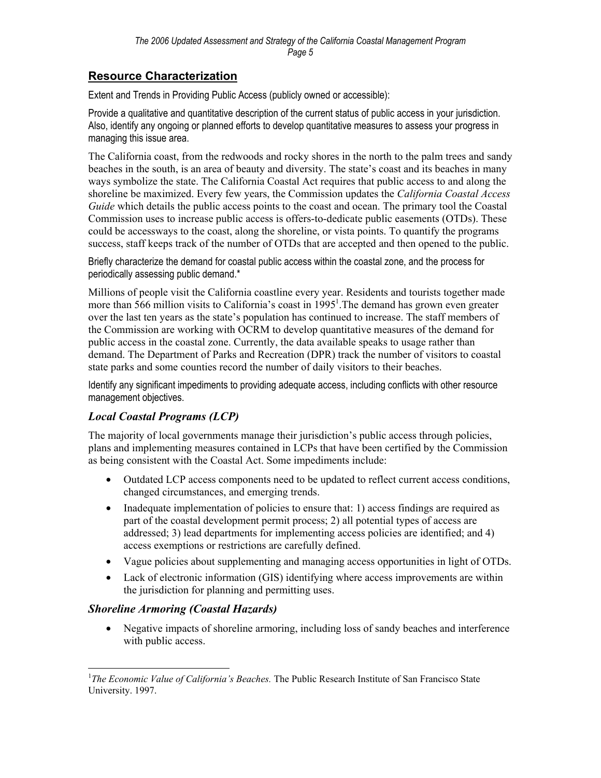## **Resource Characterization**

Extent and Trends in Providing Public Access (publicly owned or accessible):

Provide a qualitative and quantitative description of the current status of public access in your jurisdiction. Also, identify any ongoing or planned efforts to develop quantitative measures to assess your progress in managing this issue area.

The California coast, from the redwoods and rocky shores in the north to the palm trees and sandy beaches in the south, is an area of beauty and diversity. The state's coast and its beaches in many ways symbolize the state. The California Coastal Act requires that public access to and along the shoreline be maximized. Every few years, the Commission updates the *California Coastal Access Guide* which details the public access points to the coast and ocean. The primary tool the Coastal Commission uses to increase public access is offers-to-dedicate public easements (OTDs). These could be accessways to the coast, along the shoreline, or vista points. To quantify the programs success, staff keeps track of the number of OTDs that are accepted and then opened to the public.

Briefly characterize the demand for coastal public access within the coastal zone, and the process for periodically assessing public demand.\*

Millions of people visit the California coastline every year. Residents and tourists together made more than 566 million visits to California's coast in 1995<sup>1</sup>. The demand has grown even greater over the last ten years as the state's population has continued to increase. The staff members of the Commission are working with OCRM to develop quantitative measures of the demand for public access in the coastal zone. Currently, the data available speaks to usage rather than demand. The Department of Parks and Recreation (DPR) track the number of visitors to coastal state parks and some counties record the number of daily visitors to their beaches.

Identify any significant impediments to providing adequate access, including conflicts with other resource management objectives.

## *Local Coastal Programs (LCP)*

The majority of local governments manage their jurisdiction's public access through policies, plans and implementing measures contained in LCPs that have been certified by the Commission as being consistent with the Coastal Act. Some impediments include:

- Outdated LCP access components need to be updated to reflect current access conditions, changed circumstances, and emerging trends.
- Inadequate implementation of policies to ensure that: 1) access findings are required as part of the coastal development permit process; 2) all potential types of access are addressed; 3) lead departments for implementing access policies are identified; and 4) access exemptions or restrictions are carefully defined.
- Vague policies about supplementing and managing access opportunities in light of OTDs.
- Lack of electronic information (GIS) identifying where access improvements are within the jurisdiction for planning and permitting uses.

## *Shoreline Armoring (Coastal Hazards)*

1

• Negative impacts of shoreline armoring, including loss of sandy beaches and interference with public access.

<sup>&</sup>lt;sup>1</sup>The Economic Value of California's Beaches. The Public Research Institute of San Francisco State University. 1997.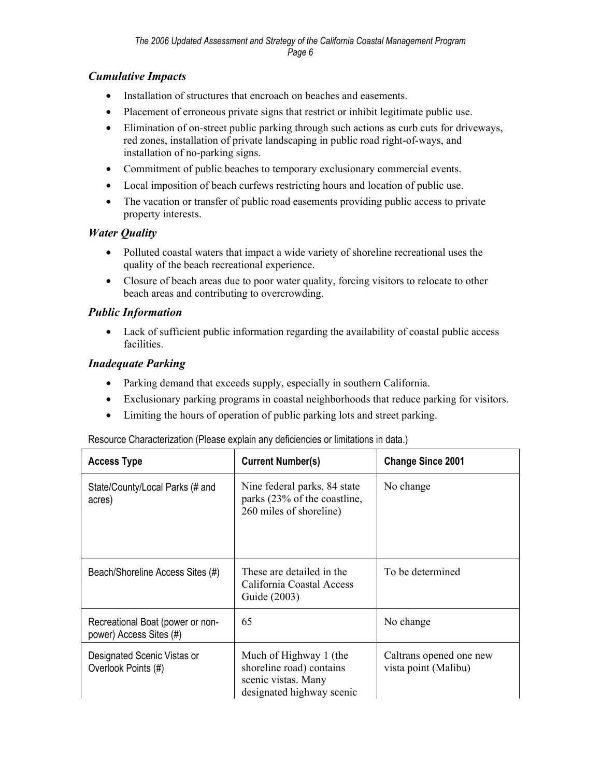## *Cumulative Impacts*

- Installation of structures that encroach on beaches and easements.
- Placement of erroneous private signs that restrict or inhibit legitimate public use.
- Elimination of on-street public parking through such actions as curb cuts for driveways, red zones, installation of private landscaping in public road right-of-ways, and installation of no-parking signs.
- Commitment of public beaches to temporary exclusionary commercial events.
- Local imposition of beach curfews restricting hours and location of public use.
- The vacation or transfer of public road easements providing public access to private property interests.

## *Water Quality*

- Polluted coastal waters that impact a wide variety of shoreline recreational uses the quality of the beach recreational experience.
- Closure of beach areas due to poor water quality, forcing visitors to relocate to other beach areas and contributing to overcrowding.

## *Public Information*

• Lack of sufficient public information regarding the availability of coastal public access facilities.

## *Inadequate Parking*

- Parking demand that exceeds supply, especially in southern California.
- Exclusionary parking programs in coastal neighborhoods that reduce parking for visitors.
- Limiting the hours of operation of public parking lots and street parking.

#### Resource Characterization (Please explain any deficiencies or limitations in data.)

| <b>Access Type</b>                                          | <b>Current Number(s)</b>                                                                               | <b>Change Since 2001</b>                        |
|-------------------------------------------------------------|--------------------------------------------------------------------------------------------------------|-------------------------------------------------|
| State/County/Local Parks (# and<br>acres)                   | Nine federal parks, 84 state<br>parks (23% of the coastline,<br>260 miles of shoreline)                | No change                                       |
| Beach/Shoreline Access Sites (#)                            | These are detailed in the<br>California Coastal Access<br>Guide (2003)                                 | To be determined                                |
| Recreational Boat (power or non-<br>power) Access Sites (#) | 65                                                                                                     | No change                                       |
| Designated Scenic Vistas or<br>Overlook Points (#)          | Much of Highway 1 (the<br>shoreline road) contains<br>scenic vistas. Many<br>designated highway scenic | Caltrans opened one new<br>vista point (Malibu) |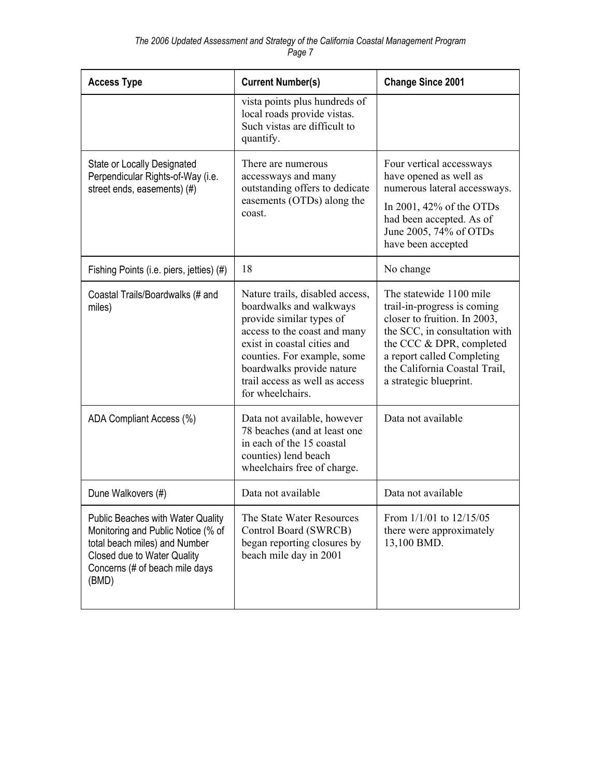| <b>Access Type</b>                                                                                                                                                                        | <b>Current Number(s)</b>                                                                                                                                                                                                                                                | <b>Change Since 2001</b>                                                                                                                                                                                                                     |
|-------------------------------------------------------------------------------------------------------------------------------------------------------------------------------------------|-------------------------------------------------------------------------------------------------------------------------------------------------------------------------------------------------------------------------------------------------------------------------|----------------------------------------------------------------------------------------------------------------------------------------------------------------------------------------------------------------------------------------------|
|                                                                                                                                                                                           | vista points plus hundreds of<br>local roads provide vistas.<br>Such vistas are difficult to<br>quantify.                                                                                                                                                               |                                                                                                                                                                                                                                              |
| <b>State or Locally Designated</b><br>Perpendicular Rights-of-Way (i.e.<br>street ends, easements) (#)                                                                                    | There are numerous<br>accessways and many<br>outstanding offers to dedicate<br>easements (OTDs) along the<br>coast.                                                                                                                                                     | Four vertical accessways<br>have opened as well as<br>numerous lateral accessways.<br>In 2001, $42\%$ of the OTDs<br>had been accepted. As of<br>June 2005, 74% of OTDs<br>have been accepted                                                |
| Fishing Points (i.e. piers, jetties) (#)                                                                                                                                                  | 18                                                                                                                                                                                                                                                                      | No change                                                                                                                                                                                                                                    |
| Coastal Trails/Boardwalks (# and<br>miles)                                                                                                                                                | Nature trails, disabled access,<br>boardwalks and walkways<br>provide similar types of<br>access to the coast and many<br>exist in coastal cities and<br>counties. For example, some<br>boardwalks provide nature<br>trail access as well as access<br>for wheelchairs. | The statewide 1100 mile<br>trail-in-progress is coming<br>closer to fruition. In 2003,<br>the SCC, in consultation with<br>the CCC & DPR, completed<br>a report called Completing<br>the California Coastal Trail,<br>a strategic blueprint. |
| ADA Compliant Access (%)                                                                                                                                                                  | Data not available, however<br>78 beaches (and at least one<br>in each of the 15 coastal<br>counties) lend beach<br>wheelchairs free of charge.                                                                                                                         | Data not available                                                                                                                                                                                                                           |
| Dune Walkovers (#)                                                                                                                                                                        | Data not available                                                                                                                                                                                                                                                      | Data not available                                                                                                                                                                                                                           |
| <b>Public Beaches with Water Quality</b><br>Monitoring and Public Notice (% of<br>total beach miles) and Number<br>Closed due to Water Quality<br>Concerns (# of beach mile days<br>(BMD) | The State Water Resources<br>Control Board (SWRCB)<br>began reporting closures by<br>beach mile day in 2001                                                                                                                                                             | From $1/1/01$ to $12/15/05$<br>there were approximately<br>13,100 BMD.                                                                                                                                                                       |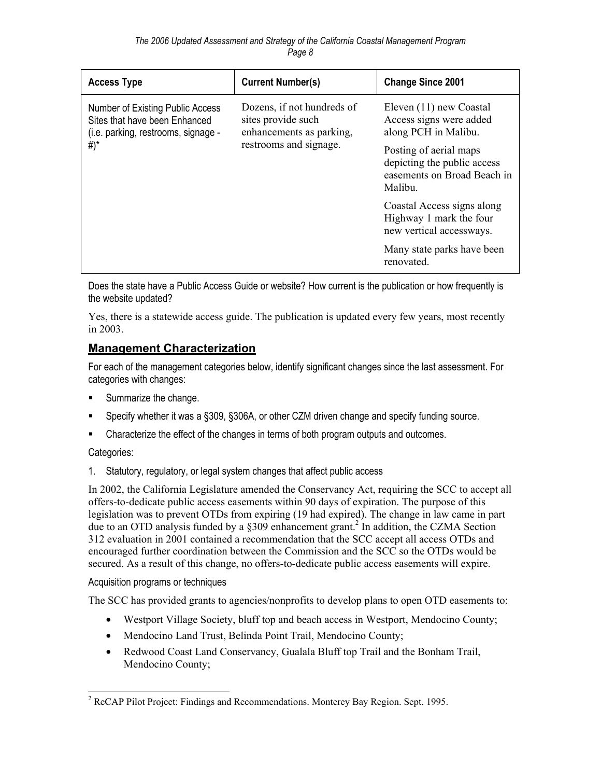| <b>Access Type</b>                                                                                       | <b>Current Number(s)</b>                                                     | <b>Change Since 2001</b>                                                                        |
|----------------------------------------------------------------------------------------------------------|------------------------------------------------------------------------------|-------------------------------------------------------------------------------------------------|
| Number of Existing Public Access<br>Sites that have been Enhanced<br>(i.e. parking, restrooms, signage - | Dozens, if not hundreds of<br>sites provide such<br>enhancements as parking, | Eleven (11) new Coastal<br>Access signs were added<br>along PCH in Malibu.                      |
| #)*                                                                                                      | restrooms and signage.                                                       | Posting of aerial maps<br>depicting the public access<br>easements on Broad Beach in<br>Malibu. |
|                                                                                                          |                                                                              | Coastal Access signs along<br>Highway 1 mark the four<br>new vertical accessways.               |
|                                                                                                          |                                                                              | Many state parks have been<br>renovated.                                                        |

Does the state have a Public Access Guide or website? How current is the publication or how frequently is the website updated?

Yes, there is a statewide access guide. The publication is updated every few years, most recently in 2003.

## **Management Characterization**

For each of the management categories below, identify significant changes since the last assessment. For categories with changes:

- Summarize the change.
- Specify whether it was a §309, §306A, or other CZM driven change and specify funding source.
- Characterize the effect of the changes in terms of both program outputs and outcomes.

#### Categories:

1. Statutory, regulatory, or legal system changes that affect public access

In 2002, the California Legislature amended the Conservancy Act, requiring the SCC to accept all offers-to-dedicate public access easements within 90 days of expiration. The purpose of this legislation was to prevent OTDs from expiring (19 had expired). The change in law came in part due to an OTD analysis funded by a §309 enhancement grant.<sup>2</sup> In addition, the CZMA Section 312 evaluation in 2001 contained a recommendation that the SCC accept all access OTDs and encouraged further coordination between the Commission and the SCC so the OTDs would be secured. As a result of this change, no offers-to-dedicate public access easements will expire.

#### Acquisition programs or techniques

The SCC has provided grants to agencies/nonprofits to develop plans to open OTD easements to:

- Westport Village Society, bluff top and beach access in Westport, Mendocino County;
- Mendocino Land Trust, Belinda Point Trail, Mendocino County;
- Redwood Coast Land Conservancy, Gualala Bluff top Trail and the Bonham Trail, Mendocino County;

<sup>1</sup> <sup>2</sup> ReCAP Pilot Project: Findings and Recommendations. Monterey Bay Region. Sept. 1995.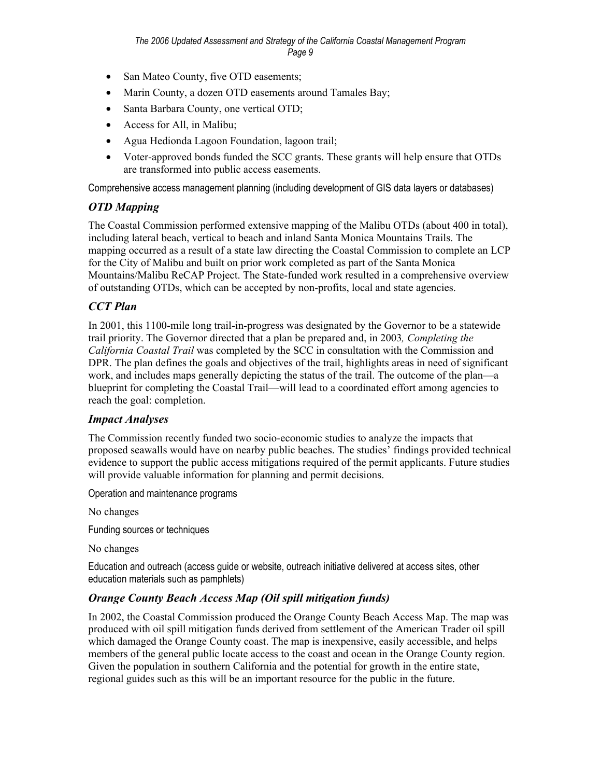- San Mateo County, five OTD easements;
- Marin County, a dozen OTD easements around Tamales Bay;
- Santa Barbara County, one vertical OTD;
- Access for All, in Malibu;
- Agua Hedionda Lagoon Foundation, lagoon trail;
- Voter-approved bonds funded the SCC grants. These grants will help ensure that OTDs are transformed into public access easements.

Comprehensive access management planning (including development of GIS data layers or databases)

## *OTD Mapping*

The Coastal Commission performed extensive mapping of the Malibu OTDs (about 400 in total), including lateral beach, vertical to beach and inland Santa Monica Mountains Trails. The mapping occurred as a result of a state law directing the Coastal Commission to complete an LCP for the City of Malibu and built on prior work completed as part of the Santa Monica Mountains/Malibu ReCAP Project. The State-funded work resulted in a comprehensive overview of outstanding OTDs, which can be accepted by non-profits, local and state agencies.

## *CCT Plan*

In 2001, this 1100-mile long trail-in-progress was designated by the Governor to be a statewide trail priority. The Governor directed that a plan be prepared and, in 2003*, Completing the California Coastal Trail* was completed by the SCC in consultation with the Commission and DPR. The plan defines the goals and objectives of the trail, highlights areas in need of significant work, and includes maps generally depicting the status of the trail. The outcome of the plan—a blueprint for completing the Coastal Trail—will lead to a coordinated effort among agencies to reach the goal: completion.

## *Impact Analyses*

The Commission recently funded two socio-economic studies to analyze the impacts that proposed seawalls would have on nearby public beaches. The studies' findings provided technical evidence to support the public access mitigations required of the permit applicants. Future studies will provide valuable information for planning and permit decisions.

Operation and maintenance programs

No changes

Funding sources or techniques

No changes

Education and outreach (access guide or website, outreach initiative delivered at access sites, other education materials such as pamphlets)

## *Orange County Beach Access Map (Oil spill mitigation funds)*

In 2002, the Coastal Commission produced the Orange County Beach Access Map. The map was produced with oil spill mitigation funds derived from settlement of the American Trader oil spill which damaged the Orange County coast. The map is inexpensive, easily accessible, and helps members of the general public locate access to the coast and ocean in the Orange County region. Given the population in southern California and the potential for growth in the entire state, regional guides such as this will be an important resource for the public in the future.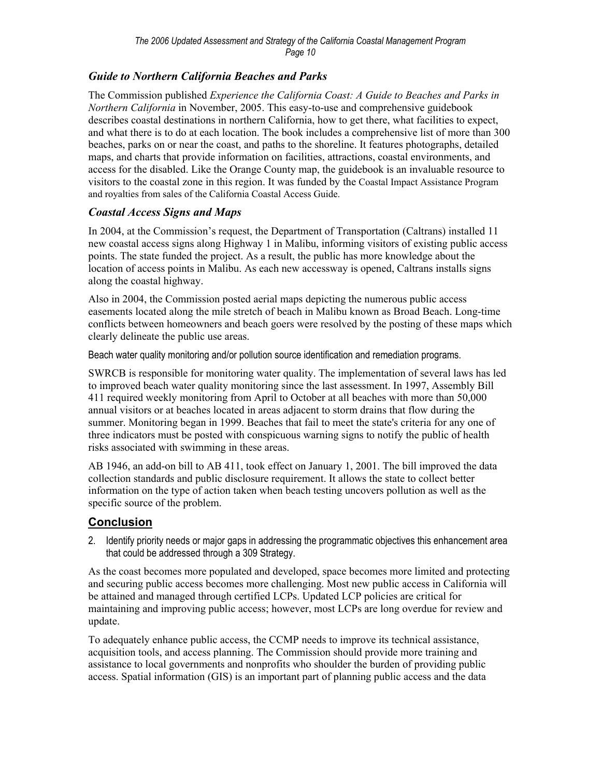## *Guide to Northern California Beaches and Parks*

The Commission published *Experience the California Coast: A Guide to Beaches and Parks in Northern California* in November, 2005. This easy-to-use and comprehensive guidebook describes coastal destinations in northern California, how to get there, what facilities to expect, and what there is to do at each location. The book includes a comprehensive list of more than 300 beaches, parks on or near the coast, and paths to the shoreline. It features photographs, detailed maps, and charts that provide information on facilities, attractions, coastal environments, and access for the disabled. Like the Orange County map, the guidebook is an invaluable resource to visitors to the coastal zone in this region. It was funded by the Coastal Impact Assistance Program and royalties from sales of the California Coastal Access Guide.

## *Coastal Access Signs and Maps*

In 2004, at the Commission's request, the Department of Transportation (Caltrans) installed 11 new coastal access signs along Highway 1 in Malibu, informing visitors of existing public access points. The state funded the project. As a result, the public has more knowledge about the location of access points in Malibu. As each new accessway is opened, Caltrans installs signs along the coastal highway.

Also in 2004, the Commission posted aerial maps depicting the numerous public access easements located along the mile stretch of beach in Malibu known as Broad Beach. Long-time conflicts between homeowners and beach goers were resolved by the posting of these maps which clearly delineate the public use areas.

Beach water quality monitoring and/or pollution source identification and remediation programs.

SWRCB is responsible for monitoring water quality. The implementation of several laws has led to improved beach water quality monitoring since the last assessment. In 1997, Assembly Bill 411 required weekly monitoring from April to October at all beaches with more than 50,000 annual visitors or at beaches located in areas adjacent to storm drains that flow during the summer. Monitoring began in 1999. Beaches that fail to meet the state's criteria for any one of three indicators must be posted with conspicuous warning signs to notify the public of health risks associated with swimming in these areas.

AB 1946, an add-on bill to AB 411, took effect on January 1, 2001. The bill improved the data collection standards and public disclosure requirement. It allows the state to collect better information on the type of action taken when beach testing uncovers pollution as well as the specific source of the problem.

## **Conclusion**

2. Identify priority needs or major gaps in addressing the programmatic objectives this enhancement area that could be addressed through a 309 Strategy.

As the coast becomes more populated and developed, space becomes more limited and protecting and securing public access becomes more challenging. Most new public access in California will be attained and managed through certified LCPs. Updated LCP policies are critical for maintaining and improving public access; however, most LCPs are long overdue for review and update.

To adequately enhance public access, the CCMP needs to improve its technical assistance, acquisition tools, and access planning. The Commission should provide more training and assistance to local governments and nonprofits who shoulder the burden of providing public access. Spatial information (GIS) is an important part of planning public access and the data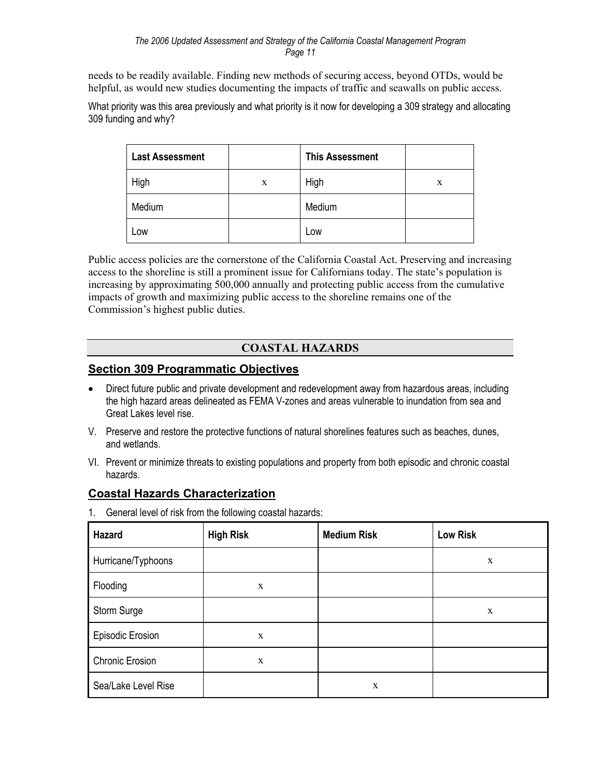needs to be readily available. Finding new methods of securing access, beyond OTDs, would be helpful, as would new studies documenting the impacts of traffic and seawalls on public access.

What priority was this area previously and what priority is it now for developing a 309 strategy and allocating 309 funding and why?

| <b>Last Assessment</b> |   | <b>This Assessment</b> |   |
|------------------------|---|------------------------|---|
| High                   | X | High                   | X |
| Medium                 |   | Medium                 |   |
| Low                    |   | Low                    |   |

Public access policies are the cornerstone of the California Coastal Act. Preserving and increasing access to the shoreline is still a prominent issue for Californians today. The state's population is increasing by approximating 500,000 annually and protecting public access from the cumulative impacts of growth and maximizing public access to the shoreline remains one of the Commission's highest public duties.

## **COASTAL HAZARDS**

## **Section 309 Programmatic Objectives**

- Direct future public and private development and redevelopment away from hazardous areas, including the high hazard areas delineated as FEMA V-zones and areas vulnerable to inundation from sea and Great Lakes level rise.
- V. Preserve and restore the protective functions of natural shorelines features such as beaches, dunes, and wetlands.
- VI. Prevent or minimize threats to existing populations and property from both episodic and chronic coastal hazards.

## **Coastal Hazards Characterization**

1. General level of risk from the following coastal hazards:

| Hazard                 | <b>High Risk</b> | <b>Medium Risk</b> | <b>Low Risk</b> |
|------------------------|------------------|--------------------|-----------------|
| Hurricane/Typhoons     |                  |                    | X               |
| Flooding               | X                |                    |                 |
| Storm Surge            |                  |                    | $\mathbf X$     |
| Episodic Erosion       | X                |                    |                 |
| <b>Chronic Erosion</b> | $\mathbf X$      |                    |                 |
| Sea/Lake Level Rise    |                  | X                  |                 |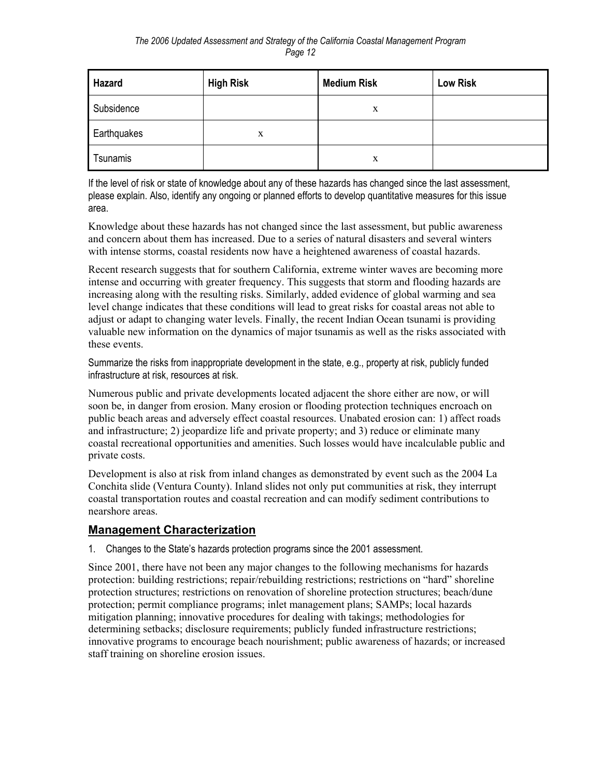| Hazard      | <b>High Risk</b> | <b>Medium Risk</b> | <b>Low Risk</b> |
|-------------|------------------|--------------------|-----------------|
| Subsidence  |                  | X                  |                 |
| Earthquakes | x                |                    |                 |
| Tsunamis    |                  | X                  |                 |

If the level of risk or state of knowledge about any of these hazards has changed since the last assessment, please explain. Also, identify any ongoing or planned efforts to develop quantitative measures for this issue area.

Knowledge about these hazards has not changed since the last assessment, but public awareness and concern about them has increased. Due to a series of natural disasters and several winters with intense storms, coastal residents now have a heightened awareness of coastal hazards.

Recent research suggests that for southern California, extreme winter waves are becoming more intense and occurring with greater frequency. This suggests that storm and flooding hazards are increasing along with the resulting risks. Similarly, added evidence of global warming and sea level change indicates that these conditions will lead to great risks for coastal areas not able to adjust or adapt to changing water levels. Finally, the recent Indian Ocean tsunami is providing valuable new information on the dynamics of major tsunamis as well as the risks associated with these events.

Summarize the risks from inappropriate development in the state, e.g., property at risk, publicly funded infrastructure at risk, resources at risk.

Numerous public and private developments located adjacent the shore either are now, or will soon be, in danger from erosion. Many erosion or flooding protection techniques encroach on public beach areas and adversely effect coastal resources. Unabated erosion can: 1) affect roads and infrastructure; 2) jeopardize life and private property; and 3) reduce or eliminate many coastal recreational opportunities and amenities. Such losses would have incalculable public and private costs.

Development is also at risk from inland changes as demonstrated by event such as the 2004 La Conchita slide (Ventura County). Inland slides not only put communities at risk, they interrupt coastal transportation routes and coastal recreation and can modify sediment contributions to nearshore areas.

## **Management Characterization**

1. Changes to the State's hazards protection programs since the 2001 assessment.

Since 2001, there have not been any major changes to the following mechanisms for hazards protection: building restrictions; repair/rebuilding restrictions; restrictions on "hard" shoreline protection structures; restrictions on renovation of shoreline protection structures; beach/dune protection; permit compliance programs; inlet management plans; SAMPs; local hazards mitigation planning; innovative procedures for dealing with takings; methodologies for determining setbacks; disclosure requirements; publicly funded infrastructure restrictions; innovative programs to encourage beach nourishment; public awareness of hazards; or increased staff training on shoreline erosion issues.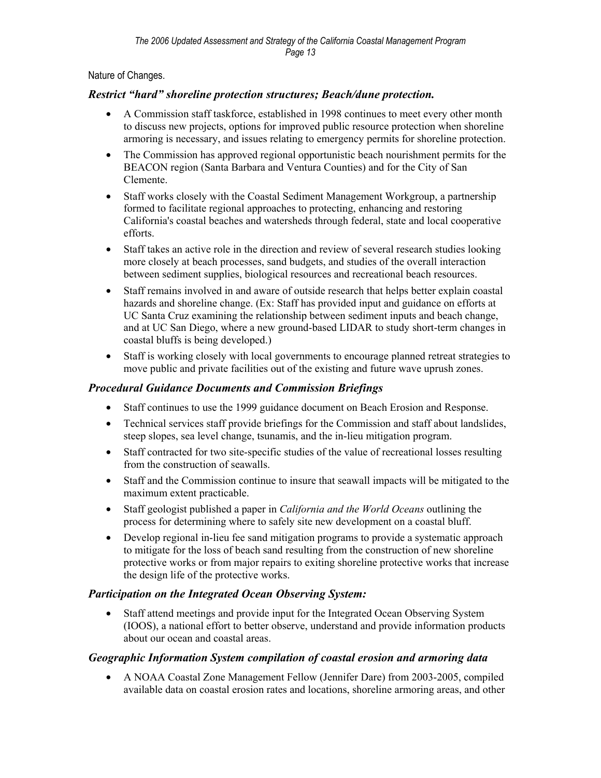Nature of Changes.

## *Restrict "hard" shoreline protection structures; Beach/dune protection.*

- A Commission staff taskforce, established in 1998 continues to meet every other month to discuss new projects, options for improved public resource protection when shoreline armoring is necessary, and issues relating to emergency permits for shoreline protection.
- The Commission has approved regional opportunistic beach nourishment permits for the BEACON region (Santa Barbara and Ventura Counties) and for the City of San Clemente.
- Staff works closely with the Coastal Sediment Management Workgroup, a partnership formed to facilitate regional approaches to protecting, enhancing and restoring California's coastal beaches and watersheds through federal, state and local cooperative efforts.
- Staff takes an active role in the direction and review of several research studies looking more closely at beach processes, sand budgets, and studies of the overall interaction between sediment supplies, biological resources and recreational beach resources.
- Staff remains involved in and aware of outside research that helps better explain coastal hazards and shoreline change. (Ex: Staff has provided input and guidance on efforts at UC Santa Cruz examining the relationship between sediment inputs and beach change, and at UC San Diego, where a new ground-based LIDAR to study short-term changes in coastal bluffs is being developed.)
- Staff is working closely with local governments to encourage planned retreat strategies to move public and private facilities out of the existing and future wave uprush zones.

## *Procedural Guidance Documents and Commission Briefings*

- Staff continues to use the 1999 guidance document on Beach Erosion and Response.
- Technical services staff provide briefings for the Commission and staff about landslides, steep slopes, sea level change, tsunamis, and the in-lieu mitigation program.
- Staff contracted for two site-specific studies of the value of recreational losses resulting from the construction of seawalls.
- Staff and the Commission continue to insure that seawall impacts will be mitigated to the maximum extent practicable.
- Staff geologist published a paper in *California and the World Oceans* outlining the process for determining where to safely site new development on a coastal bluff.
- Develop regional in-lieu fee sand mitigation programs to provide a systematic approach to mitigate for the loss of beach sand resulting from the construction of new shoreline protective works or from major repairs to exiting shoreline protective works that increase the design life of the protective works.

## *Participation on the Integrated Ocean Observing System:*

• Staff attend meetings and provide input for the Integrated Ocean Observing System (IOOS), a national effort to better observe, understand and provide information products about our ocean and coastal areas.

## *Geographic Information System compilation of coastal erosion and armoring data*

• A NOAA Coastal Zone Management Fellow (Jennifer Dare) from 2003-2005, compiled available data on coastal erosion rates and locations, shoreline armoring areas, and other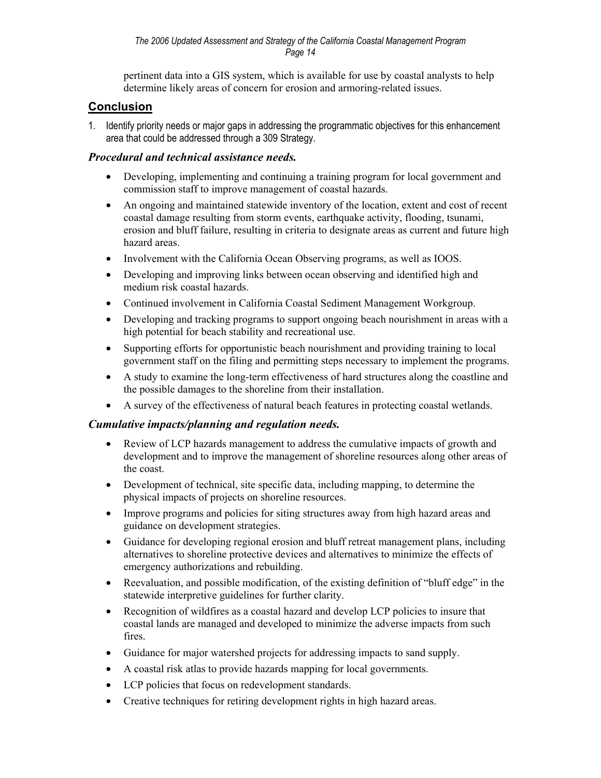pertinent data into a GIS system, which is available for use by coastal analysts to help determine likely areas of concern for erosion and armoring-related issues.

## **Conclusion**

1. Identify priority needs or major gaps in addressing the programmatic objectives for this enhancement area that could be addressed through a 309 Strategy.

## *Procedural and technical assistance needs.*

- Developing, implementing and continuing a training program for local government and commission staff to improve management of coastal hazards.
- An ongoing and maintained statewide inventory of the location, extent and cost of recent coastal damage resulting from storm events, earthquake activity, flooding, tsunami, erosion and bluff failure, resulting in criteria to designate areas as current and future high hazard areas.
- Involvement with the California Ocean Observing programs, as well as IOOS.
- Developing and improving links between ocean observing and identified high and medium risk coastal hazards.
- Continued involvement in California Coastal Sediment Management Workgroup.
- Developing and tracking programs to support ongoing beach nourishment in areas with a high potential for beach stability and recreational use.
- Supporting efforts for opportunistic beach nourishment and providing training to local government staff on the filing and permitting steps necessary to implement the programs.
- A study to examine the long-term effectiveness of hard structures along the coastline and the possible damages to the shoreline from their installation.
- A survey of the effectiveness of natural beach features in protecting coastal wetlands.

## *Cumulative impacts/planning and regulation needs.*

- Review of LCP hazards management to address the cumulative impacts of growth and development and to improve the management of shoreline resources along other areas of the coast.
- Development of technical, site specific data, including mapping, to determine the physical impacts of projects on shoreline resources.
- Improve programs and policies for siting structures away from high hazard areas and guidance on development strategies.
- Guidance for developing regional erosion and bluff retreat management plans, including alternatives to shoreline protective devices and alternatives to minimize the effects of emergency authorizations and rebuilding.
- Reevaluation, and possible modification, of the existing definition of "bluff edge" in the statewide interpretive guidelines for further clarity.
- Recognition of wildfires as a coastal hazard and develop LCP policies to insure that coastal lands are managed and developed to minimize the adverse impacts from such fires.
- Guidance for major watershed projects for addressing impacts to sand supply.
- A coastal risk atlas to provide hazards mapping for local governments.
- LCP policies that focus on redevelopment standards.
- Creative techniques for retiring development rights in high hazard areas.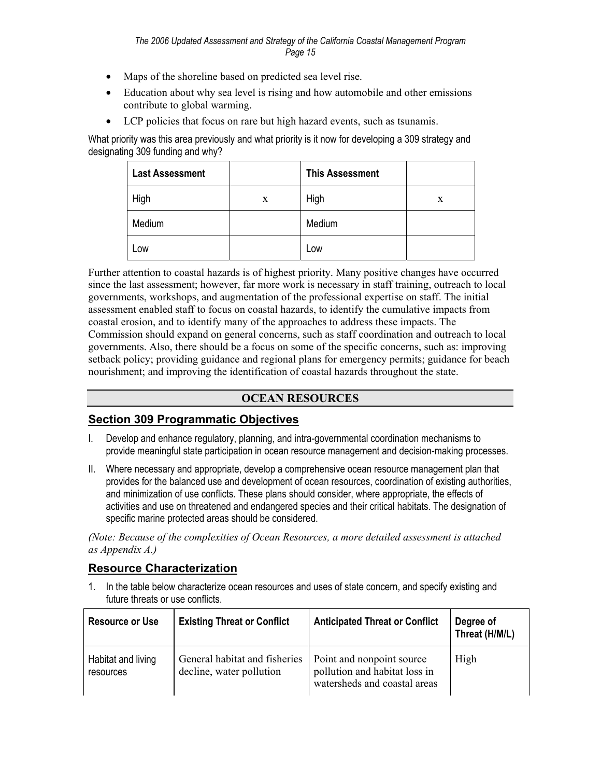- Maps of the shoreline based on predicted sea level rise.
- Education about why sea level is rising and how automobile and other emissions contribute to global warming.
- LCP policies that focus on rare but high hazard events, such as tsunamis.

What priority was this area previously and what priority is it now for developing a 309 strategy and designating 309 funding and why?

| <b>Last Assessment</b> |   | <b>This Assessment</b> |   |
|------------------------|---|------------------------|---|
| High                   | X | High                   | X |
| Medium                 |   | Medium                 |   |
| Low                    |   | Low                    |   |

Further attention to coastal hazards is of highest priority. Many positive changes have occurred since the last assessment; however, far more work is necessary in staff training, outreach to local governments, workshops, and augmentation of the professional expertise on staff. The initial assessment enabled staff to focus on coastal hazards, to identify the cumulative impacts from coastal erosion, and to identify many of the approaches to address these impacts. The Commission should expand on general concerns, such as staff coordination and outreach to local governments. Also, there should be a focus on some of the specific concerns, such as: improving setback policy; providing guidance and regional plans for emergency permits; guidance for beach nourishment; and improving the identification of coastal hazards throughout the state.

#### **OCEAN RESOURCES**

#### **Section 309 Programmatic Objectives**

- I. Develop and enhance regulatory, planning, and intra-governmental coordination mechanisms to provide meaningful state participation in ocean resource management and decision-making processes.
- II. Where necessary and appropriate, develop a comprehensive ocean resource management plan that provides for the balanced use and development of ocean resources, coordination of existing authorities, and minimization of use conflicts. These plans should consider, where appropriate, the effects of activities and use on threatened and endangered species and their critical habitats. The designation of specific marine protected areas should be considered.

*(Note: Because of the complexities of Ocean Resources, a more detailed assessment is attached as Appendix A.)* 

#### **Resource Characterization**

1. In the table below characterize ocean resources and uses of state concern, and specify existing and future threats or use conflicts.

| <b>Resource or Use</b>          | <b>Existing Threat or Conflict</b>                        | <b>Anticipated Threat or Conflict</b>                                                      | Degree of<br>Threat (H/M/L) |
|---------------------------------|-----------------------------------------------------------|--------------------------------------------------------------------------------------------|-----------------------------|
| Habitat and living<br>resources | General habitat and fisheries<br>decline, water pollution | Point and nonpoint source<br>pollution and habitat loss in<br>watersheds and coastal areas | High                        |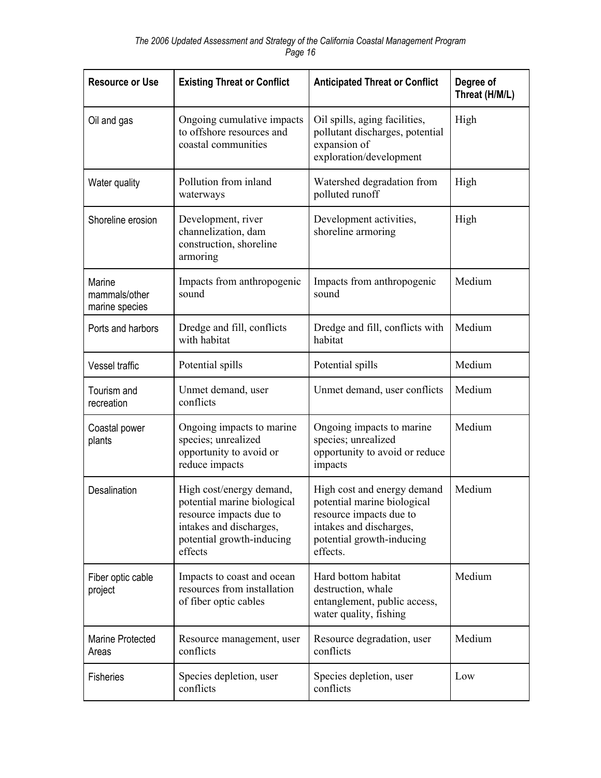| <b>Resource or Use</b>                    | <b>Existing Threat or Conflict</b>                                                                                                                    | <b>Anticipated Threat or Conflict</b>                                                                                                                     | Degree of<br>Threat (H/M/L) |
|-------------------------------------------|-------------------------------------------------------------------------------------------------------------------------------------------------------|-----------------------------------------------------------------------------------------------------------------------------------------------------------|-----------------------------|
| Oil and gas                               | Ongoing cumulative impacts<br>to offshore resources and<br>coastal communities                                                                        | Oil spills, aging facilities,<br>pollutant discharges, potential<br>expansion of<br>exploration/development                                               | High                        |
| Water quality                             | Pollution from inland<br>waterways                                                                                                                    | Watershed degradation from<br>polluted runoff                                                                                                             | High                        |
| Shoreline erosion                         | Development, river<br>channelization, dam<br>construction, shoreline<br>armoring                                                                      | Development activities,<br>shoreline armoring                                                                                                             | High                        |
| Marine<br>mammals/other<br>marine species | Impacts from anthropogenic<br>sound                                                                                                                   | Impacts from anthropogenic<br>sound                                                                                                                       | Medium                      |
| Ports and harbors                         | Dredge and fill, conflicts<br>with habitat                                                                                                            | Dredge and fill, conflicts with<br>habitat                                                                                                                | Medium                      |
| Vessel traffic                            | Potential spills                                                                                                                                      | Potential spills                                                                                                                                          | Medium                      |
| Tourism and<br>recreation                 | Unmet demand, user<br>conflicts                                                                                                                       | Unmet demand, user conflicts                                                                                                                              | Medium                      |
| Coastal power<br>plants                   | Ongoing impacts to marine<br>species; unrealized<br>opportunity to avoid or<br>reduce impacts                                                         | Ongoing impacts to marine<br>species; unrealized<br>opportunity to avoid or reduce<br>impacts                                                             | Medium                      |
| Desalination                              | High cost/energy demand,<br>potential marine biological<br>resource impacts due to<br>intakes and discharges,<br>potential growth-inducing<br>effects | High cost and energy demand<br>potential marine biological<br>resource impacts due to<br>intakes and discharges,<br>potential growth-inducing<br>effects. | Medium                      |
| Fiber optic cable<br>project              | Impacts to coast and ocean<br>resources from installation<br>of fiber optic cables                                                                    | Hard bottom habitat<br>destruction, whale<br>entanglement, public access,<br>water quality, fishing                                                       | Medium                      |
| Marine Protected<br>Areas                 | Resource management, user<br>conflicts                                                                                                                | Resource degradation, user<br>conflicts                                                                                                                   | Medium                      |
| <b>Fisheries</b>                          | Species depletion, user<br>conflicts                                                                                                                  | Species depletion, user<br>conflicts                                                                                                                      | Low                         |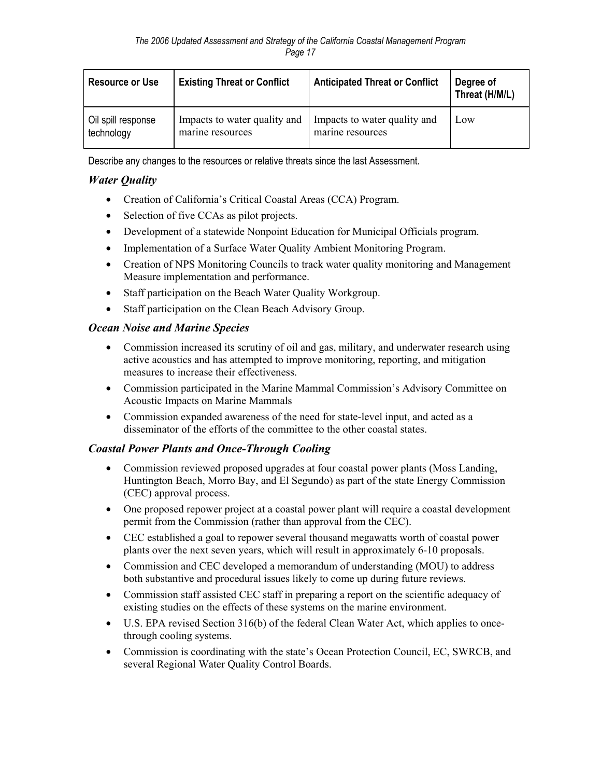| <b>Resource or Use</b> | <b>Existing Threat or Conflict</b> | <b>Anticipated Threat or Conflict</b> | Degree of<br>Threat (H/M/L) |
|------------------------|------------------------------------|---------------------------------------|-----------------------------|
| Oil spill response     | Impacts to water quality and       | Impacts to water quality and          | Low                         |
| technology             | marine resources                   | marine resources                      |                             |

Describe any changes to the resources or relative threats since the last Assessment.

## *Water Quality*

- Creation of California's Critical Coastal Areas (CCA) Program.
- Selection of five CCAs as pilot projects.
- Development of a statewide Nonpoint Education for Municipal Officials program.
- Implementation of a Surface Water Quality Ambient Monitoring Program.
- Creation of NPS Monitoring Councils to track water quality monitoring and Management Measure implementation and performance.
- Staff participation on the Beach Water Quality Workgroup.
- Staff participation on the Clean Beach Advisory Group.

## *Ocean Noise and Marine Species*

- Commission increased its scrutiny of oil and gas, military, and underwater research using active acoustics and has attempted to improve monitoring, reporting, and mitigation measures to increase their effectiveness.
- Commission participated in the Marine Mammal Commission's Advisory Committee on Acoustic Impacts on Marine Mammals
- Commission expanded awareness of the need for state-level input, and acted as a disseminator of the efforts of the committee to the other coastal states.

## *Coastal Power Plants and Once-Through Cooling*

- Commission reviewed proposed upgrades at four coastal power plants (Moss Landing, Huntington Beach, Morro Bay, and El Segundo) as part of the state Energy Commission (CEC) approval process.
- One proposed repower project at a coastal power plant will require a coastal development permit from the Commission (rather than approval from the CEC).
- CEC established a goal to repower several thousand megawatts worth of coastal power plants over the next seven years, which will result in approximately 6-10 proposals.
- Commission and CEC developed a memorandum of understanding (MOU) to address both substantive and procedural issues likely to come up during future reviews.
- Commission staff assisted CEC staff in preparing a report on the scientific adequacy of existing studies on the effects of these systems on the marine environment.
- U.S. EPA revised Section 316(b) of the federal Clean Water Act, which applies to oncethrough cooling systems.
- Commission is coordinating with the state's Ocean Protection Council, EC, SWRCB, and several Regional Water Quality Control Boards.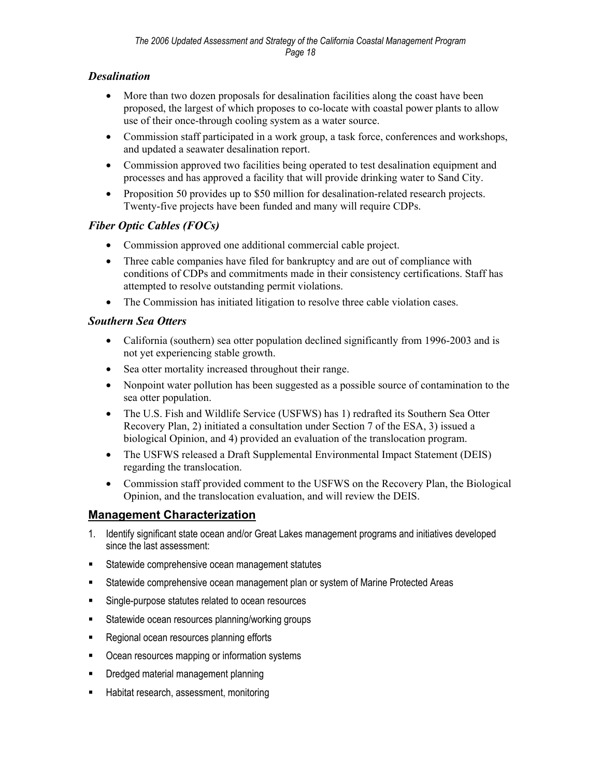## *Desalination*

- More than two dozen proposals for desalination facilities along the coast have been proposed, the largest of which proposes to co-locate with coastal power plants to allow use of their once-through cooling system as a water source.
- Commission staff participated in a work group, a task force, conferences and workshops, and updated a seawater desalination report.
- Commission approved two facilities being operated to test desalination equipment and processes and has approved a facility that will provide drinking water to Sand City.
- Proposition 50 provides up to \$50 million for desalination-related research projects. Twenty-five projects have been funded and many will require CDPs.

## *Fiber Optic Cables (FOCs)*

- Commission approved one additional commercial cable project.
- Three cable companies have filed for bankruptcy and are out of compliance with conditions of CDPs and commitments made in their consistency certifications. Staff has attempted to resolve outstanding permit violations.
- The Commission has initiated litigation to resolve three cable violation cases.

## *Southern Sea Otters*

- California (southern) sea otter population declined significantly from 1996-2003 and is not yet experiencing stable growth.
- Sea otter mortality increased throughout their range.
- Nonpoint water pollution has been suggested as a possible source of contamination to the sea otter population.
- The U.S. Fish and Wildlife Service (USFWS) has 1) redrafted its Southern Sea Otter Recovery Plan, 2) initiated a consultation under Section 7 of the ESA, 3) issued a biological Opinion, and 4) provided an evaluation of the translocation program.
- The USFWS released a Draft Supplemental Environmental Impact Statement (DEIS) regarding the translocation.
- Commission staff provided comment to the USFWS on the Recovery Plan, the Biological Opinion, and the translocation evaluation, and will review the DEIS.

## **Management Characterization**

- 1. Identify significant state ocean and/or Great Lakes management programs and initiatives developed since the last assessment:
- **Statewide comprehensive ocean management statutes**
- **Statewide comprehensive ocean management plan or system of Marine Protected Areas**
- **Single-purpose statutes related to ocean resources**
- **Statewide ocean resources planning/working groups**
- Regional ocean resources planning efforts
- **Ocean resources mapping or information systems**
- **•** Dredged material management planning
- **Habitat research, assessment, monitoring**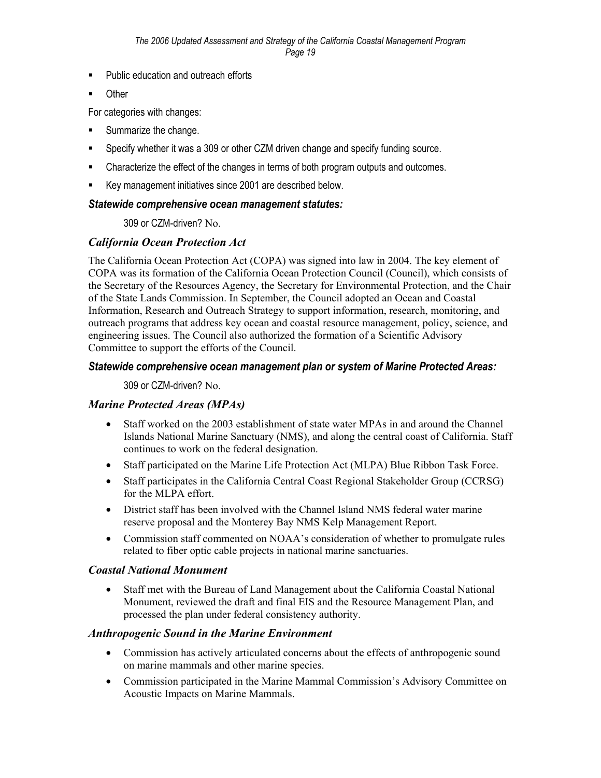- **Public education and outreach efforts**
- **Communism**

For categories with changes:

- Summarize the change.
- Specify whether it was a 309 or other CZM driven change and specify funding source.
- **EXECH** Characterize the effect of the changes in terms of both program outputs and outcomes.
- Key management initiatives since 2001 are described below.

#### *Statewide comprehensive ocean management statutes:*

309 or CZM-driven? No.

#### *California Ocean Protection Act*

The California Ocean Protection Act (COPA) was signed into law in 2004. The key element of COPA was its formation of the California Ocean Protection Council (Council), which consists of the Secretary of the Resources Agency, the Secretary for Environmental Protection, and the Chair of the State Lands Commission. In September, the Council adopted an Ocean and Coastal Information, Research and Outreach Strategy to support information, research, monitoring, and outreach programs that address key ocean and coastal resource management, policy, science, and engineering issues. The Council also authorized the formation of a Scientific Advisory Committee to support the efforts of the Council.

#### *Statewide comprehensive ocean management plan or system of Marine Protected Areas:*

309 or CZM-driven? No.

#### *Marine Protected Areas (MPAs)*

- Staff worked on the 2003 establishment of state water MPAs in and around the Channel Islands National Marine Sanctuary (NMS), and along the central coast of California. Staff continues to work on the federal designation.
- Staff participated on the Marine Life Protection Act (MLPA) Blue Ribbon Task Force.
- Staff participates in the California Central Coast Regional Stakeholder Group (CCRSG) for the MLPA effort.
- District staff has been involved with the Channel Island NMS federal water marine reserve proposal and the Monterey Bay NMS Kelp Management Report.
- Commission staff commented on NOAA's consideration of whether to promulgate rules related to fiber optic cable projects in national marine sanctuaries.

#### *Coastal National Monument*

• Staff met with the Bureau of Land Management about the California Coastal National Monument, reviewed the draft and final EIS and the Resource Management Plan, and processed the plan under federal consistency authority.

#### *Anthropogenic Sound in the Marine Environment*

- Commission has actively articulated concerns about the effects of anthropogenic sound on marine mammals and other marine species.
- Commission participated in the Marine Mammal Commission's Advisory Committee on Acoustic Impacts on Marine Mammals.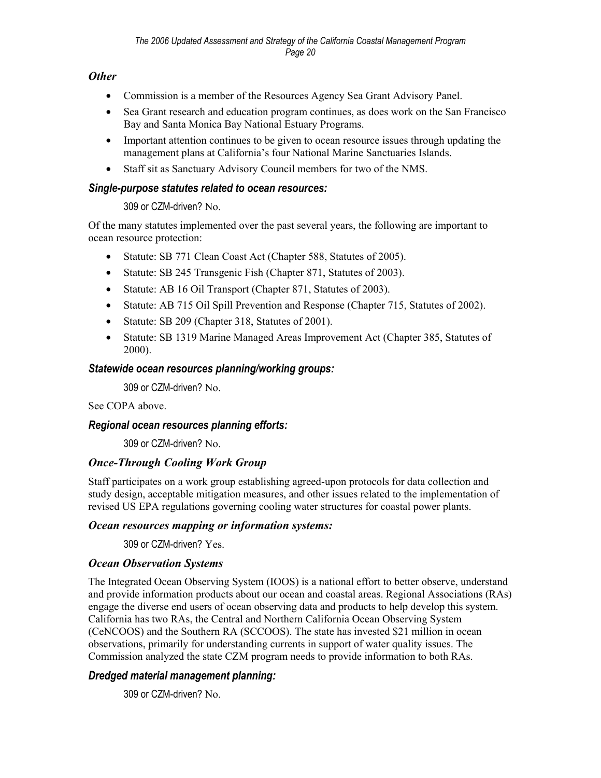#### *Other*

- Commission is a member of the Resources Agency Sea Grant Advisory Panel.
- Sea Grant research and education program continues, as does work on the San Francisco Bay and Santa Monica Bay National Estuary Programs.
- Important attention continues to be given to ocean resource issues through updating the management plans at California's four National Marine Sanctuaries Islands.
- Staff sit as Sanctuary Advisory Council members for two of the NMS.

#### *Single-purpose statutes related to ocean resources:*

#### 309 or CZM-driven? No.

Of the many statutes implemented over the past several years, the following are important to ocean resource protection:

- Statute: SB 771 Clean Coast Act (Chapter 588, Statutes of 2005).
- Statute: SB 245 Transgenic Fish (Chapter 871, Statutes of 2003).
- Statute: AB 16 Oil Transport (Chapter 871, Statutes of 2003).
- Statute: AB 715 Oil Spill Prevention and Response (Chapter 715, Statutes of 2002).
- Statute: SB 209 (Chapter 318, Statutes of 2001).
- Statute: SB 1319 Marine Managed Areas Improvement Act (Chapter 385, Statutes of 2000).

#### *Statewide ocean resources planning/working groups:*

309 or CZM-driven? No.

See COPA above.

#### *Regional ocean resources planning efforts:*

309 or CZM-driven? No.

#### *Once-Through Cooling Work Group*

Staff participates on a work group establishing agreed-upon protocols for data collection and study design, acceptable mitigation measures, and other issues related to the implementation of revised US EPA regulations governing cooling water structures for coastal power plants.

#### *Ocean resources mapping or information systems:*

309 or CZM-driven? Yes.

#### *Ocean Observation Systems*

The Integrated Ocean Observing System (IOOS) is a national effort to better observe, understand and provide information products about our ocean and coastal areas. Regional Associations (RAs) engage the diverse end users of ocean observing data and products to help develop this system. California has two RAs, the Central and Northern California Ocean Observing System (CeNCOOS) and the Southern RA (SCCOOS). The state has invested \$21 million in ocean observations, primarily for understanding currents in support of water quality issues. The Commission analyzed the state CZM program needs to provide information to both RAs.

#### *Dredged material management planning:*

309 or CZM-driven? No.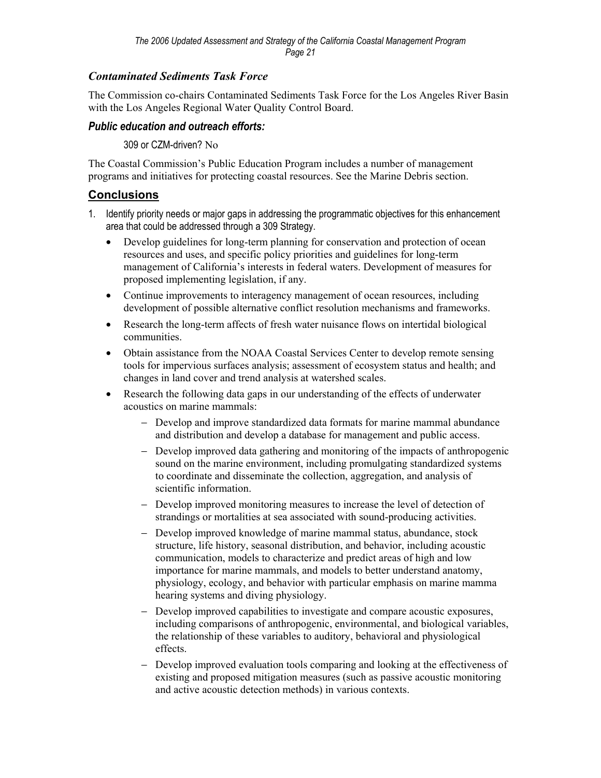## *Contaminated Sediments Task Force*

The Commission co-chairs Contaminated Sediments Task Force for the Los Angeles River Basin with the Los Angeles Regional Water Quality Control Board.

#### *Public education and outreach efforts:*

309 or CZM-driven? No

The Coastal Commission's Public Education Program includes a number of management programs and initiatives for protecting coastal resources. See the Marine Debris section.

#### **Conclusions**

- 1. Identify priority needs or major gaps in addressing the programmatic objectives for this enhancement area that could be addressed through a 309 Strategy.
	- Develop guidelines for long-term planning for conservation and protection of ocean resources and uses, and specific policy priorities and guidelines for long-term management of California's interests in federal waters. Development of measures for proposed implementing legislation, if any.
	- Continue improvements to interagency management of ocean resources, including development of possible alternative conflict resolution mechanisms and frameworks.
	- Research the long-term affects of fresh water nuisance flows on intertidal biological communities.
	- Obtain assistance from the NOAA Coastal Services Center to develop remote sensing tools for impervious surfaces analysis; assessment of ecosystem status and health; and changes in land cover and trend analysis at watershed scales.
	- Research the following data gaps in our understanding of the effects of underwater acoustics on marine mammals:
		- − Develop and improve standardized data formats for marine mammal abundance and distribution and develop a database for management and public access.
		- − Develop improved data gathering and monitoring of the impacts of anthropogenic sound on the marine environment, including promulgating standardized systems to coordinate and disseminate the collection, aggregation, and analysis of scientific information.
		- − Develop improved monitoring measures to increase the level of detection of strandings or mortalities at sea associated with sound-producing activities.
		- − Develop improved knowledge of marine mammal status, abundance, stock structure, life history, seasonal distribution, and behavior, including acoustic communication, models to characterize and predict areas of high and low importance for marine mammals, and models to better understand anatomy, physiology, ecology, and behavior with particular emphasis on marine mamma hearing systems and diving physiology.
		- − Develop improved capabilities to investigate and compare acoustic exposures, including comparisons of anthropogenic, environmental, and biological variables, the relationship of these variables to auditory, behavioral and physiological effects.
		- − Develop improved evaluation tools comparing and looking at the effectiveness of existing and proposed mitigation measures (such as passive acoustic monitoring and active acoustic detection methods) in various contexts.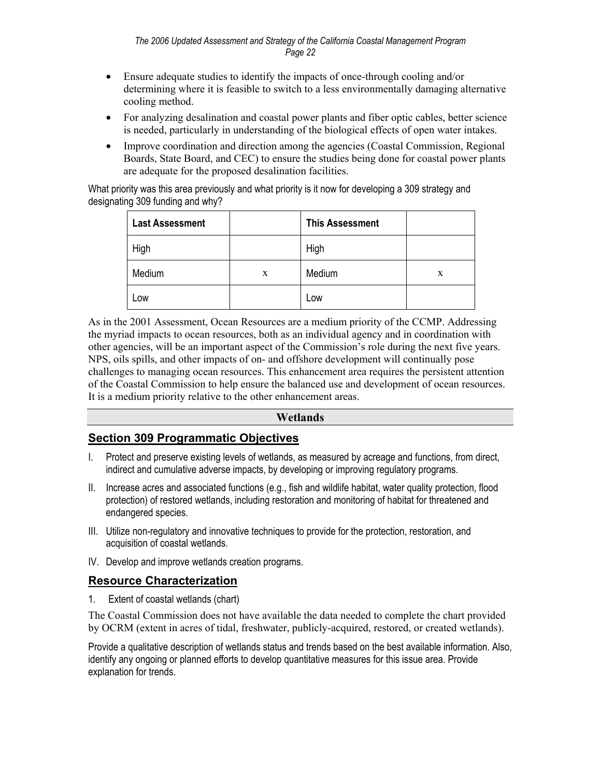- Ensure adequate studies to identify the impacts of once-through cooling and/or determining where it is feasible to switch to a less environmentally damaging alternative cooling method.
- For analyzing desalination and coastal power plants and fiber optic cables, better science is needed, particularly in understanding of the biological effects of open water intakes.
- Improve coordination and direction among the agencies (Coastal Commission, Regional Boards, State Board, and CEC) to ensure the studies being done for coastal power plants are adequate for the proposed desalination facilities.

What priority was this area previously and what priority is it now for developing a 309 strategy and designating 309 funding and why?

| <b>Last Assessment</b> |   | <b>This Assessment</b> |   |
|------------------------|---|------------------------|---|
| High                   |   | High                   |   |
| Medium                 | X | Medium                 | X |
| Low                    |   | Low                    |   |

As in the 2001 Assessment, Ocean Resources are a medium priority of the CCMP. Addressing the myriad impacts to ocean resources, both as an individual agency and in coordination with other agencies, will be an important aspect of the Commission's role during the next five years. NPS, oils spills, and other impacts of on- and offshore development will continually pose challenges to managing ocean resources. This enhancement area requires the persistent attention of the Coastal Commission to help ensure the balanced use and development of ocean resources. It is a medium priority relative to the other enhancement areas.

#### **Wetlands**

## **Section 309 Programmatic Objectives**

- I. Protect and preserve existing levels of wetlands, as measured by acreage and functions, from direct, indirect and cumulative adverse impacts, by developing or improving regulatory programs.
- II. Increase acres and associated functions (e.g., fish and wildlife habitat, water quality protection, flood protection) of restored wetlands, including restoration and monitoring of habitat for threatened and endangered species.
- III. Utilize non-regulatory and innovative techniques to provide for the protection, restoration, and acquisition of coastal wetlands.
- IV. Develop and improve wetlands creation programs.

#### **Resource Characterization**

1. Extent of coastal wetlands (chart)

The Coastal Commission does not have available the data needed to complete the chart provided by OCRM (extent in acres of tidal, freshwater, publicly-acquired, restored, or created wetlands).

Provide a qualitative description of wetlands status and trends based on the best available information. Also, identify any ongoing or planned efforts to develop quantitative measures for this issue area. Provide explanation for trends.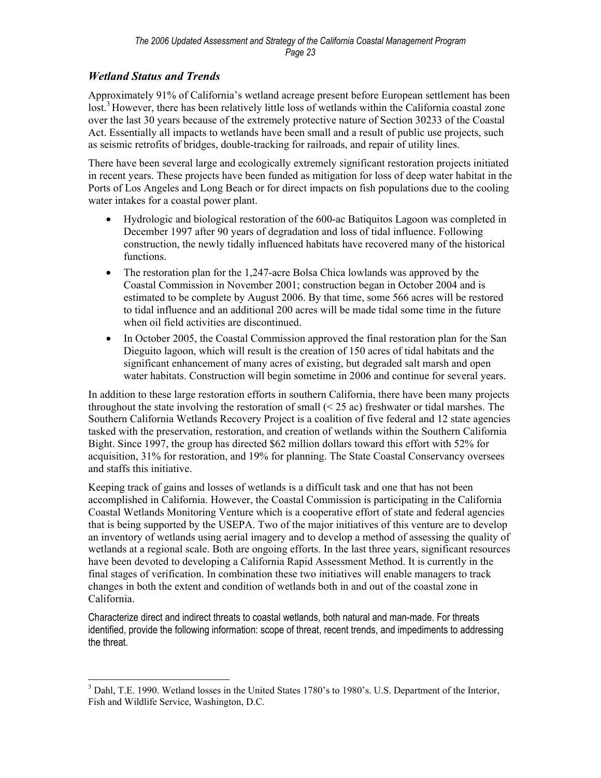## *Wetland Status and Trends*

Approximately 91% of California's wetland acreage present before European settlement has been lost.<sup>3</sup> However, there has been relatively little loss of wetlands within the California coastal zone over the last 30 years because of the extremely protective nature of Section 30233 of the Coastal Act. Essentially all impacts to wetlands have been small and a result of public use projects, such as seismic retrofits of bridges, double-tracking for railroads, and repair of utility lines.

There have been several large and ecologically extremely significant restoration projects initiated in recent years. These projects have been funded as mitigation for loss of deep water habitat in the Ports of Los Angeles and Long Beach or for direct impacts on fish populations due to the cooling water intakes for a coastal power plant.

- Hydrologic and biological restoration of the 600-ac Batiquitos Lagoon was completed in December 1997 after 90 years of degradation and loss of tidal influence. Following construction, the newly tidally influenced habitats have recovered many of the historical functions.
- The restoration plan for the 1,247-acre Bolsa Chica lowlands was approved by the Coastal Commission in November 2001; construction began in October 2004 and is estimated to be complete by August 2006. By that time, some 566 acres will be restored to tidal influence and an additional 200 acres will be made tidal some time in the future when oil field activities are discontinued.
- In October 2005, the Coastal Commission approved the final restoration plan for the San Dieguito lagoon, which will result is the creation of 150 acres of tidal habitats and the significant enhancement of many acres of existing, but degraded salt marsh and open water habitats. Construction will begin sometime in 2006 and continue for several years.

In addition to these large restoration efforts in southern California, there have been many projects throughout the state involving the restoration of small  $( $25 \text{ ac}$ )$  freshwater or tidal marshes. The Southern California Wetlands Recovery Project is a coalition of five federal and 12 state agencies tasked with the preservation, restoration, and creation of wetlands within the Southern California Bight. Since 1997, the group has directed \$62 million dollars toward this effort with 52% for acquisition, 31% for restoration, and 19% for planning. The State Coastal Conservancy oversees and staffs this initiative.

Keeping track of gains and losses of wetlands is a difficult task and one that has not been accomplished in California. However, the Coastal Commission is participating in the California Coastal Wetlands Monitoring Venture which is a cooperative effort of state and federal agencies that is being supported by the USEPA. Two of the major initiatives of this venture are to develop an inventory of wetlands using aerial imagery and to develop a method of assessing the quality of wetlands at a regional scale. Both are ongoing efforts. In the last three years, significant resources have been devoted to developing a California Rapid Assessment Method. It is currently in the final stages of verification. In combination these two initiatives will enable managers to track changes in both the extent and condition of wetlands both in and out of the coastal zone in California.

Characterize direct and indirect threats to coastal wetlands, both natural and man-made. For threats identified, provide the following information: scope of threat, recent trends, and impediments to addressing the threat.

<sup>1</sup> <sup>3</sup> Dahl, T.E. 1990. Wetland losses in the United States 1780's to 1980's. U.S. Department of the Interior, Fish and Wildlife Service, Washington, D.C.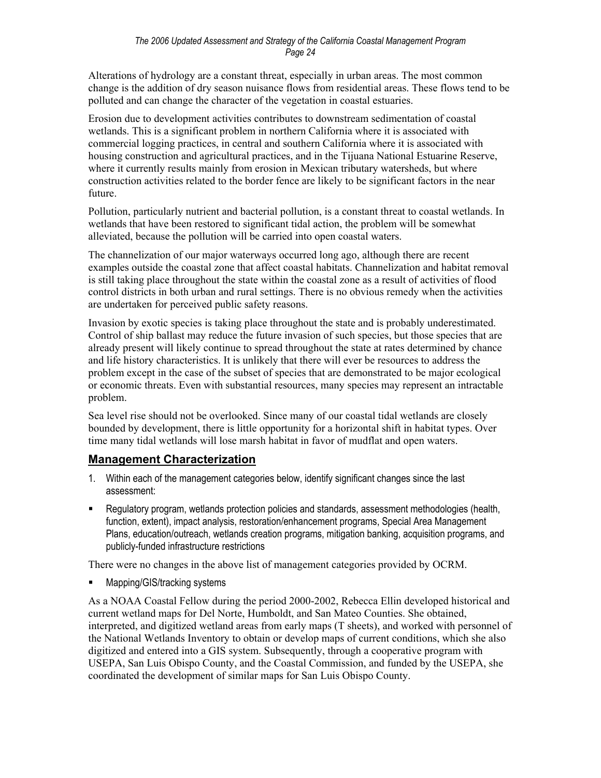Alterations of hydrology are a constant threat, especially in urban areas. The most common change is the addition of dry season nuisance flows from residential areas. These flows tend to be polluted and can change the character of the vegetation in coastal estuaries.

Erosion due to development activities contributes to downstream sedimentation of coastal wetlands. This is a significant problem in northern California where it is associated with commercial logging practices, in central and southern California where it is associated with housing construction and agricultural practices, and in the Tijuana National Estuarine Reserve, where it currently results mainly from erosion in Mexican tributary watersheds, but where construction activities related to the border fence are likely to be significant factors in the near future.

Pollution, particularly nutrient and bacterial pollution, is a constant threat to coastal wetlands. In wetlands that have been restored to significant tidal action, the problem will be somewhat alleviated, because the pollution will be carried into open coastal waters.

The channelization of our major waterways occurred long ago, although there are recent examples outside the coastal zone that affect coastal habitats. Channelization and habitat removal is still taking place throughout the state within the coastal zone as a result of activities of flood control districts in both urban and rural settings. There is no obvious remedy when the activities are undertaken for perceived public safety reasons.

Invasion by exotic species is taking place throughout the state and is probably underestimated. Control of ship ballast may reduce the future invasion of such species, but those species that are already present will likely continue to spread throughout the state at rates determined by chance and life history characteristics. It is unlikely that there will ever be resources to address the problem except in the case of the subset of species that are demonstrated to be major ecological or economic threats. Even with substantial resources, many species may represent an intractable problem.

Sea level rise should not be overlooked. Since many of our coastal tidal wetlands are closely bounded by development, there is little opportunity for a horizontal shift in habitat types. Over time many tidal wetlands will lose marsh habitat in favor of mudflat and open waters.

## **Management Characterization**

- 1. Within each of the management categories below, identify significant changes since the last assessment:
- Regulatory program, wetlands protection policies and standards, assessment methodologies (health, function, extent), impact analysis, restoration/enhancement programs, Special Area Management Plans, education/outreach, wetlands creation programs, mitigation banking, acquisition programs, and publicly-funded infrastructure restrictions

There were no changes in the above list of management categories provided by OCRM.

Mapping/GIS/tracking systems

As a NOAA Coastal Fellow during the period 2000-2002, Rebecca Ellin developed historical and current wetland maps for Del Norte, Humboldt, and San Mateo Counties. She obtained, interpreted, and digitized wetland areas from early maps (T sheets), and worked with personnel of the National Wetlands Inventory to obtain or develop maps of current conditions, which she also digitized and entered into a GIS system. Subsequently, through a cooperative program with USEPA, San Luis Obispo County, and the Coastal Commission, and funded by the USEPA, she coordinated the development of similar maps for San Luis Obispo County.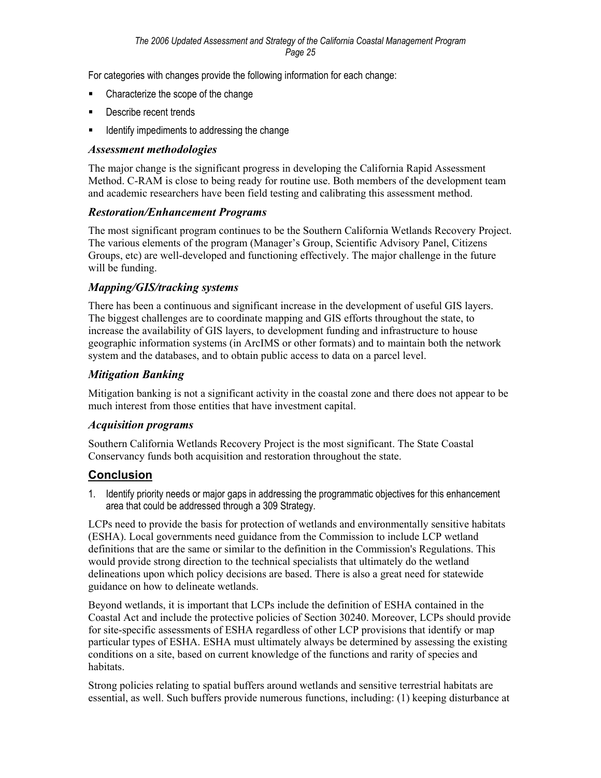For categories with changes provide the following information for each change:

- Characterize the scope of the change
- **Describe recent trends**
- **If all identify impediments to addressing the change**

#### *Assessment methodologies*

The major change is the significant progress in developing the California Rapid Assessment Method. C-RAM is close to being ready for routine use. Both members of the development team and academic researchers have been field testing and calibrating this assessment method.

#### *Restoration/Enhancement Programs*

The most significant program continues to be the Southern California Wetlands Recovery Project. The various elements of the program (Manager's Group, Scientific Advisory Panel, Citizens Groups, etc) are well-developed and functioning effectively. The major challenge in the future will be funding.

#### *Mapping/GIS/tracking systems*

There has been a continuous and significant increase in the development of useful GIS layers. The biggest challenges are to coordinate mapping and GIS efforts throughout the state, to increase the availability of GIS layers, to development funding and infrastructure to house geographic information systems (in ArcIMS or other formats) and to maintain both the network system and the databases, and to obtain public access to data on a parcel level.

#### *Mitigation Banking*

Mitigation banking is not a significant activity in the coastal zone and there does not appear to be much interest from those entities that have investment capital.

#### *Acquisition programs*

Southern California Wetlands Recovery Project is the most significant. The State Coastal Conservancy funds both acquisition and restoration throughout the state.

#### **Conclusion**

1. Identify priority needs or major gaps in addressing the programmatic objectives for this enhancement area that could be addressed through a 309 Strategy.

LCPs need to provide the basis for protection of wetlands and environmentally sensitive habitats (ESHA). Local governments need guidance from the Commission to include LCP wetland definitions that are the same or similar to the definition in the Commission's Regulations. This would provide strong direction to the technical specialists that ultimately do the wetland delineations upon which policy decisions are based. There is also a great need for statewide guidance on how to delineate wetlands.

Beyond wetlands, it is important that LCPs include the definition of ESHA contained in the Coastal Act and include the protective policies of Section 30240. Moreover, LCPs should provide for site-specific assessments of ESHA regardless of other LCP provisions that identify or map particular types of ESHA. ESHA must ultimately always be determined by assessing the existing conditions on a site, based on current knowledge of the functions and rarity of species and habitats.

Strong policies relating to spatial buffers around wetlands and sensitive terrestrial habitats are essential, as well. Such buffers provide numerous functions, including: (1) keeping disturbance at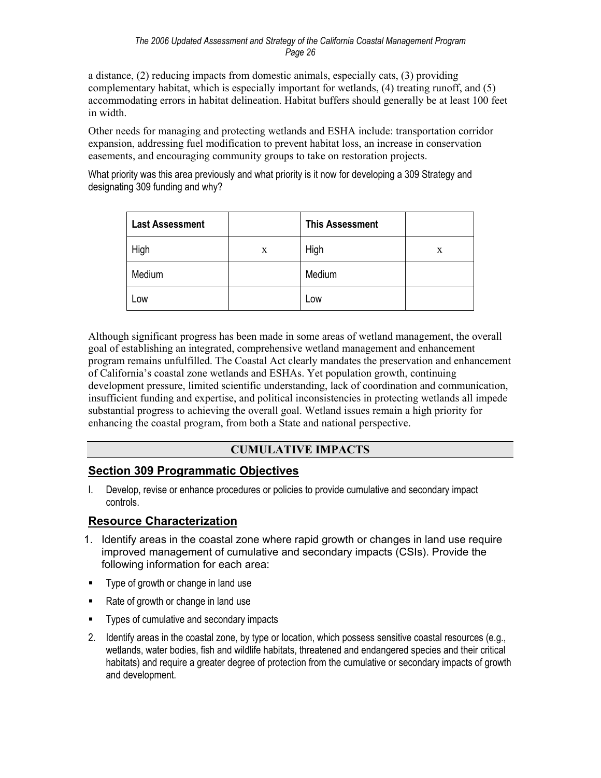a distance, (2) reducing impacts from domestic animals, especially cats, (3) providing complementary habitat, which is especially important for wetlands, (4) treating runoff, and (5) accommodating errors in habitat delineation. Habitat buffers should generally be at least 100 feet in width.

Other needs for managing and protecting wetlands and ESHA include: transportation corridor expansion, addressing fuel modification to prevent habitat loss, an increase in conservation easements, and encouraging community groups to take on restoration projects.

What priority was this area previously and what priority is it now for developing a 309 Strategy and designating 309 funding and why?

| <b>Last Assessment</b> |   | <b>This Assessment</b> |   |
|------------------------|---|------------------------|---|
| High                   | X | High                   | X |
| Medium                 |   | Medium                 |   |
| Low                    |   | Low                    |   |

Although significant progress has been made in some areas of wetland management, the overall goal of establishing an integrated, comprehensive wetland management and enhancement program remains unfulfilled. The Coastal Act clearly mandates the preservation and enhancement of California's coastal zone wetlands and ESHAs. Yet population growth, continuing development pressure, limited scientific understanding, lack of coordination and communication, insufficient funding and expertise, and political inconsistencies in protecting wetlands all impede substantial progress to achieving the overall goal. Wetland issues remain a high priority for enhancing the coastal program, from both a State and national perspective.

## **CUMULATIVE IMPACTS**

## **Section 309 Programmatic Objectives**

I. Develop, revise or enhance procedures or policies to provide cumulative and secondary impact controls.

## **Resource Characterization**

- 1. Identify areas in the coastal zone where rapid growth or changes in land use require improved management of cumulative and secondary impacts (CSIs). Provide the following information for each area:
- **Type of growth or change in land use**
- Rate of growth or change in land use
- **Types of cumulative and secondary impacts**
- 2. Identify areas in the coastal zone, by type or location, which possess sensitive coastal resources (e.g., wetlands, water bodies, fish and wildlife habitats, threatened and endangered species and their critical habitats) and require a greater degree of protection from the cumulative or secondary impacts of growth and development.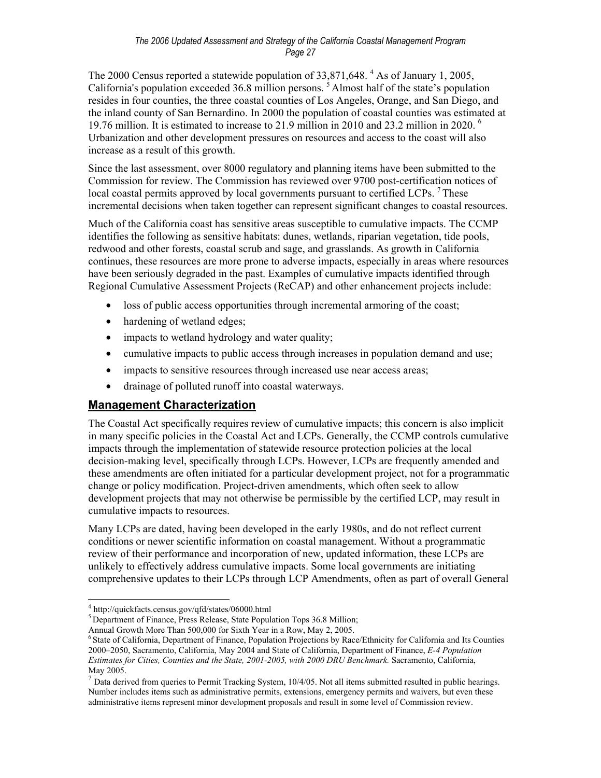The 2000 Census reported a statewide population of 33,871,648.<sup>4</sup> As of January 1, 2005, California's population exceeded 36.8 million persons.<sup>5</sup> Almost half of the state's population resides in four counties, the three coastal counties of Los Angeles, Orange, and San Diego, and the inland county of San Bernardino. In 2000 the population of coastal counties was estimated at 19.76 million. It is estimated to increase to 21.9 million in 2010 and 23.2 million in 2020. 6 Urbanization and other development pressures on resources and access to the coast will also increase as a result of this growth.

Since the last assessment, over 8000 regulatory and planning items have been submitted to the Commission for review. The Commission has reviewed over 9700 post-certification notices of local coastal permits approved by local governments pursuant to certified LCPs.<sup>7</sup> These incremental decisions when taken together can represent significant changes to coastal resources.

Much of the California coast has sensitive areas susceptible to cumulative impacts. The CCMP identifies the following as sensitive habitats: dunes, wetlands, riparian vegetation, tide pools, redwood and other forests, coastal scrub and sage, and grasslands. As growth in California continues, these resources are more prone to adverse impacts, especially in areas where resources have been seriously degraded in the past. Examples of cumulative impacts identified through Regional Cumulative Assessment Projects (ReCAP) and other enhancement projects include:

- loss of public access opportunities through incremental armoring of the coast;
- hardening of wetland edges;
- impacts to wetland hydrology and water quality;
- cumulative impacts to public access through increases in population demand and use;
- impacts to sensitive resources through increased use near access areas;
- drainage of polluted runoff into coastal waterways.

## **Management Characterization**

The Coastal Act specifically requires review of cumulative impacts; this concern is also implicit in many specific policies in the Coastal Act and LCPs. Generally, the CCMP controls cumulative impacts through the implementation of statewide resource protection policies at the local decision-making level, specifically through LCPs. However, LCPs are frequently amended and these amendments are often initiated for a particular development project, not for a programmatic change or policy modification. Project-driven amendments, which often seek to allow development projects that may not otherwise be permissible by the certified LCP, may result in cumulative impacts to resources.

Many LCPs are dated, having been developed in the early 1980s, and do not reflect current conditions or newer scientific information on coastal management. Without a programmatic review of their performance and incorporation of new, updated information, these LCPs are unlikely to effectively address cumulative impacts. Some local governments are initiating comprehensive updates to their LCPs through LCP Amendments, often as part of overall General

1

 $h<sup>5</sup>$  Department of Finance, Press Release, State Population Tops 36.8 Million;

 $4 \text{ http://quickfacts.census.gov/qfd/states/06000.html}$ 

Annual Growth More Than 500,000 for Sixth Year in a Row, May 2, 2005.<br><sup>6</sup> State of California, Department of Finance, Population Projections by Race/Ethnicity for California and Its Counties 2000–2050, Sacramento, California, May 2004 and State of California, Department of Finance, *E-4 Population Estimates for Cities, Counties and the State, 2001-2005, with 2000 DRU Benchmark.* Sacramento, California, May 2005.

 $<sup>7</sup>$  Data derived from queries to Permit Tracking System, 10/4/05. Not all items submitted resulted in public hearings.</sup> Number includes items such as administrative permits, extensions, emergency permits and waivers, but even these administrative items represent minor development proposals and result in some level of Commission review.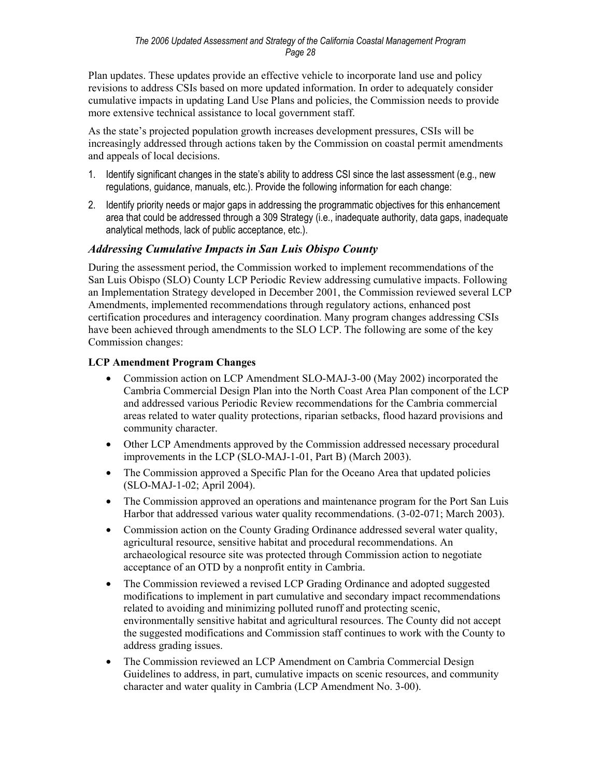Plan updates. These updates provide an effective vehicle to incorporate land use and policy revisions to address CSIs based on more updated information. In order to adequately consider cumulative impacts in updating Land Use Plans and policies, the Commission needs to provide more extensive technical assistance to local government staff.

As the state's projected population growth increases development pressures, CSIs will be increasingly addressed through actions taken by the Commission on coastal permit amendments and appeals of local decisions.

- 1. Identify significant changes in the state's ability to address CSI since the last assessment (e.g., new regulations, guidance, manuals, etc.). Provide the following information for each change:
- 2. Identify priority needs or major gaps in addressing the programmatic objectives for this enhancement area that could be addressed through a 309 Strategy (i.e., inadequate authority, data gaps, inadequate analytical methods, lack of public acceptance, etc.).

## *Addressing Cumulative Impacts in San Luis Obispo County*

During the assessment period, the Commission worked to implement recommendations of the San Luis Obispo (SLO) County LCP Periodic Review addressing cumulative impacts. Following an Implementation Strategy developed in December 2001, the Commission reviewed several LCP Amendments, implemented recommendations through regulatory actions, enhanced post certification procedures and interagency coordination. Many program changes addressing CSIs have been achieved through amendments to the SLO LCP. The following are some of the key Commission changes:

## **LCP Amendment Program Changes**

- Commission action on LCP Amendment SLO-MAJ-3-00 (May 2002) incorporated the Cambria Commercial Design Plan into the North Coast Area Plan component of the LCP and addressed various Periodic Review recommendations for the Cambria commercial areas related to water quality protections, riparian setbacks, flood hazard provisions and community character.
- Other LCP Amendments approved by the Commission addressed necessary procedural improvements in the LCP (SLO-MAJ-1-01, Part B) (March 2003).
- The Commission approved a Specific Plan for the Oceano Area that updated policies (SLO-MAJ-1-02; April 2004).
- The Commission approved an operations and maintenance program for the Port San Luis Harbor that addressed various water quality recommendations. (3-02-071; March 2003).
- Commission action on the County Grading Ordinance addressed several water quality, agricultural resource, sensitive habitat and procedural recommendations. An archaeological resource site was protected through Commission action to negotiate acceptance of an OTD by a nonprofit entity in Cambria.
- The Commission reviewed a revised LCP Grading Ordinance and adopted suggested modifications to implement in part cumulative and secondary impact recommendations related to avoiding and minimizing polluted runoff and protecting scenic, environmentally sensitive habitat and agricultural resources. The County did not accept the suggested modifications and Commission staff continues to work with the County to address grading issues.
- The Commission reviewed an LCP Amendment on Cambria Commercial Design Guidelines to address, in part, cumulative impacts on scenic resources, and community character and water quality in Cambria (LCP Amendment No. 3-00).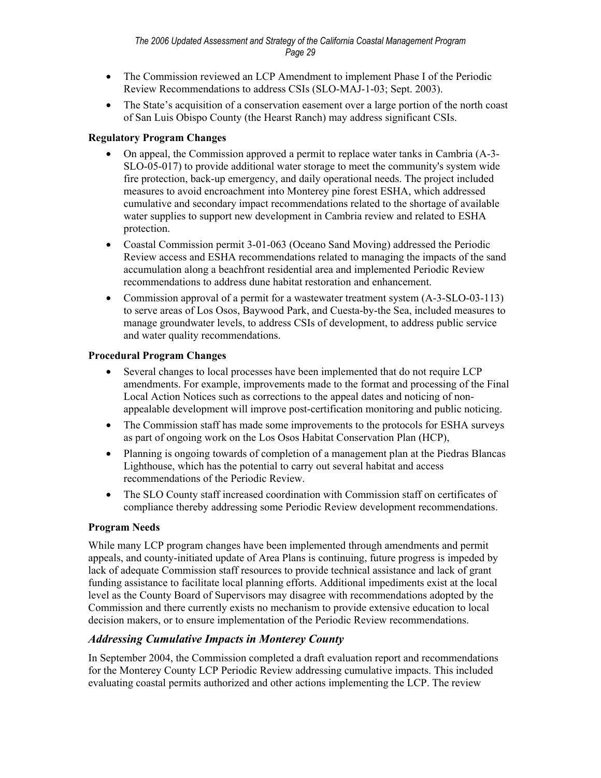- The Commission reviewed an LCP Amendment to implement Phase I of the Periodic Review Recommendations to address CSIs (SLO-MAJ-1-03; Sept. 2003).
- The State's acquisition of a conservation easement over a large portion of the north coast of San Luis Obispo County (the Hearst Ranch) may address significant CSIs.

#### **Regulatory Program Changes**

- On appeal, the Commission approved a permit to replace water tanks in Cambria (A-3- SLO-05-017) to provide additional water storage to meet the community's system wide fire protection, back-up emergency, and daily operational needs. The project included measures to avoid encroachment into Monterey pine forest ESHA, which addressed cumulative and secondary impact recommendations related to the shortage of available water supplies to support new development in Cambria review and related to ESHA protection.
- Coastal Commission permit 3-01-063 (Oceano Sand Moving) addressed the Periodic Review access and ESHA recommendations related to managing the impacts of the sand accumulation along a beachfront residential area and implemented Periodic Review recommendations to address dune habitat restoration and enhancement.
- Commission approval of a permit for a wastewater treatment system  $(A-3-SLO-03-113)$ to serve areas of Los Osos, Baywood Park, and Cuesta-by-the Sea, included measures to manage groundwater levels, to address CSIs of development, to address public service and water quality recommendations.

## **Procedural Program Changes**

- Several changes to local processes have been implemented that do not require LCP amendments. For example, improvements made to the format and processing of the Final Local Action Notices such as corrections to the appeal dates and noticing of nonappealable development will improve post-certification monitoring and public noticing.
- The Commission staff has made some improvements to the protocols for ESHA surveys as part of ongoing work on the Los Osos Habitat Conservation Plan (HCP),
- Planning is ongoing towards of completion of a management plan at the Piedras Blancas Lighthouse, which has the potential to carry out several habitat and access recommendations of the Periodic Review.
- The SLO County staff increased coordination with Commission staff on certificates of compliance thereby addressing some Periodic Review development recommendations.

#### **Program Needs**

While many LCP program changes have been implemented through amendments and permit appeals, and county-initiated update of Area Plans is continuing, future progress is impeded by lack of adequate Commission staff resources to provide technical assistance and lack of grant funding assistance to facilitate local planning efforts. Additional impediments exist at the local level as the County Board of Supervisors may disagree with recommendations adopted by the Commission and there currently exists no mechanism to provide extensive education to local decision makers, or to ensure implementation of the Periodic Review recommendations.

## *Addressing Cumulative Impacts in Monterey County*

In September 2004, the Commission completed a draft evaluation report and recommendations for the Monterey County LCP Periodic Review addressing cumulative impacts. This included evaluating coastal permits authorized and other actions implementing the LCP. The review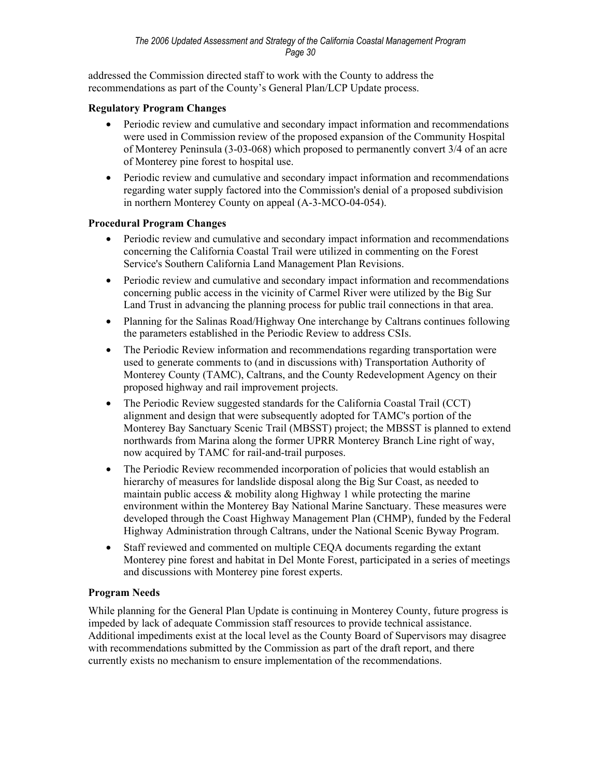addressed the Commission directed staff to work with the County to address the recommendations as part of the County's General Plan/LCP Update process.

#### **Regulatory Program Changes**

- Periodic review and cumulative and secondary impact information and recommendations were used in Commission review of the proposed expansion of the Community Hospital of Monterey Peninsula (3-03-068) which proposed to permanently convert 3/4 of an acre of Monterey pine forest to hospital use.
- Periodic review and cumulative and secondary impact information and recommendations regarding water supply factored into the Commission's denial of a proposed subdivision in northern Monterey County on appeal (A-3-MCO-04-054).

#### **Procedural Program Changes**

- Periodic review and cumulative and secondary impact information and recommendations concerning the California Coastal Trail were utilized in commenting on the Forest Service's Southern California Land Management Plan Revisions.
- Periodic review and cumulative and secondary impact information and recommendations concerning public access in the vicinity of Carmel River were utilized by the Big Sur Land Trust in advancing the planning process for public trail connections in that area.
- Planning for the Salinas Road/Highway One interchange by Caltrans continues following the parameters established in the Periodic Review to address CSIs.
- The Periodic Review information and recommendations regarding transportation were used to generate comments to (and in discussions with) Transportation Authority of Monterey County (TAMC), Caltrans, and the County Redevelopment Agency on their proposed highway and rail improvement projects.
- The Periodic Review suggested standards for the California Coastal Trail (CCT) alignment and design that were subsequently adopted for TAMC's portion of the Monterey Bay Sanctuary Scenic Trail (MBSST) project; the MBSST is planned to extend northwards from Marina along the former UPRR Monterey Branch Line right of way, now acquired by TAMC for rail-and-trail purposes.
- The Periodic Review recommended incorporation of policies that would establish an hierarchy of measures for landslide disposal along the Big Sur Coast, as needed to maintain public access & mobility along Highway 1 while protecting the marine environment within the Monterey Bay National Marine Sanctuary. These measures were developed through the Coast Highway Management Plan (CHMP), funded by the Federal Highway Administration through Caltrans, under the National Scenic Byway Program.
- Staff reviewed and commented on multiple CEQA documents regarding the extant Monterey pine forest and habitat in Del Monte Forest, participated in a series of meetings and discussions with Monterey pine forest experts.

#### **Program Needs**

While planning for the General Plan Update is continuing in Monterey County, future progress is impeded by lack of adequate Commission staff resources to provide technical assistance. Additional impediments exist at the local level as the County Board of Supervisors may disagree with recommendations submitted by the Commission as part of the draft report, and there currently exists no mechanism to ensure implementation of the recommendations.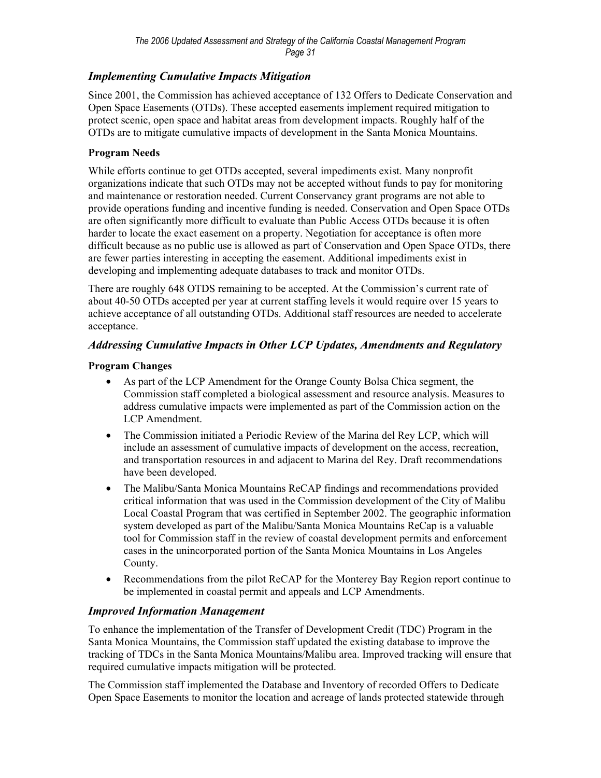## *Implementing Cumulative Impacts Mitigation*

Since 2001, the Commission has achieved acceptance of 132 Offers to Dedicate Conservation and Open Space Easements (OTDs). These accepted easements implement required mitigation to protect scenic, open space and habitat areas from development impacts. Roughly half of the OTDs are to mitigate cumulative impacts of development in the Santa Monica Mountains.

#### **Program Needs**

While efforts continue to get OTDs accepted, several impediments exist. Many nonprofit organizations indicate that such OTDs may not be accepted without funds to pay for monitoring and maintenance or restoration needed. Current Conservancy grant programs are not able to provide operations funding and incentive funding is needed. Conservation and Open Space OTDs are often significantly more difficult to evaluate than Public Access OTDs because it is often harder to locate the exact easement on a property. Negotiation for acceptance is often more difficult because as no public use is allowed as part of Conservation and Open Space OTDs, there are fewer parties interesting in accepting the easement. Additional impediments exist in developing and implementing adequate databases to track and monitor OTDs.

There are roughly 648 OTDS remaining to be accepted. At the Commission's current rate of about 40-50 OTDs accepted per year at current staffing levels it would require over 15 years to achieve acceptance of all outstanding OTDs. Additional staff resources are needed to accelerate acceptance.

## *Addressing Cumulative Impacts in Other LCP Updates, Amendments and Regulatory*

#### **Program Changes**

- As part of the LCP Amendment for the Orange County Bolsa Chica segment, the Commission staff completed a biological assessment and resource analysis. Measures to address cumulative impacts were implemented as part of the Commission action on the LCP Amendment.
- The Commission initiated a Periodic Review of the Marina del Rey LCP, which will include an assessment of cumulative impacts of development on the access, recreation, and transportation resources in and adjacent to Marina del Rey. Draft recommendations have been developed.
- The Malibu/Santa Monica Mountains ReCAP findings and recommendations provided critical information that was used in the Commission development of the City of Malibu Local Coastal Program that was certified in September 2002. The geographic information system developed as part of the Malibu/Santa Monica Mountains ReCap is a valuable tool for Commission staff in the review of coastal development permits and enforcement cases in the unincorporated portion of the Santa Monica Mountains in Los Angeles County.
- Recommendations from the pilot ReCAP for the Monterey Bay Region report continue to be implemented in coastal permit and appeals and LCP Amendments.

#### *Improved Information Management*

To enhance the implementation of the Transfer of Development Credit (TDC) Program in the Santa Monica Mountains, the Commission staff updated the existing database to improve the tracking of TDCs in the Santa Monica Mountains/Malibu area. Improved tracking will ensure that required cumulative impacts mitigation will be protected.

The Commission staff implemented the Database and Inventory of recorded Offers to Dedicate Open Space Easements to monitor the location and acreage of lands protected statewide through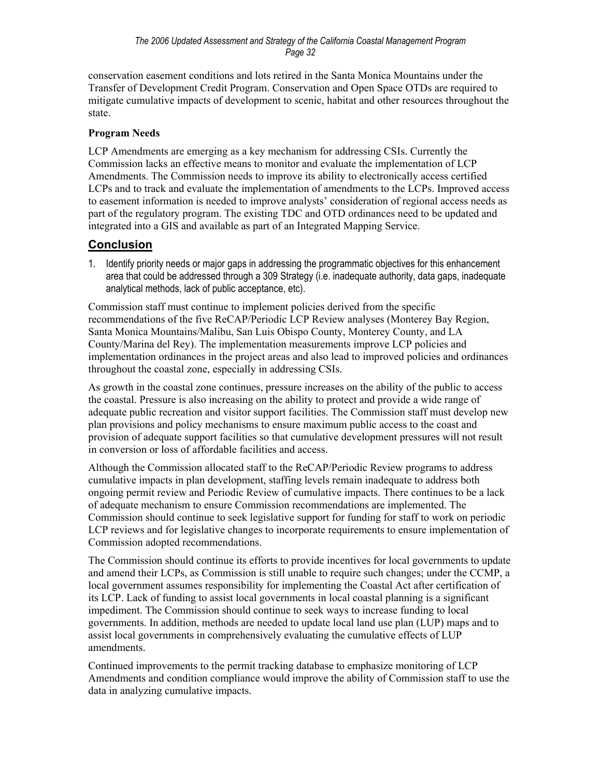conservation easement conditions and lots retired in the Santa Monica Mountains under the Transfer of Development Credit Program. Conservation and Open Space OTDs are required to mitigate cumulative impacts of development to scenic, habitat and other resources throughout the state.

## **Program Needs**

LCP Amendments are emerging as a key mechanism for addressing CSIs. Currently the Commission lacks an effective means to monitor and evaluate the implementation of LCP Amendments. The Commission needs to improve its ability to electronically access certified LCPs and to track and evaluate the implementation of amendments to the LCPs. Improved access to easement information is needed to improve analysts' consideration of regional access needs as part of the regulatory program. The existing TDC and OTD ordinances need to be updated and integrated into a GIS and available as part of an Integrated Mapping Service.

## **Conclusion**

1. Identify priority needs or major gaps in addressing the programmatic objectives for this enhancement area that could be addressed through a 309 Strategy (i.e. inadequate authority, data gaps, inadequate analytical methods, lack of public acceptance, etc).

Commission staff must continue to implement policies derived from the specific recommendations of the five ReCAP/Periodic LCP Review analyses (Monterey Bay Region, Santa Monica Mountains/Malibu, San Luis Obispo County, Monterey County, and LA County/Marina del Rey). The implementation measurements improve LCP policies and implementation ordinances in the project areas and also lead to improved policies and ordinances throughout the coastal zone, especially in addressing CSIs.

As growth in the coastal zone continues, pressure increases on the ability of the public to access the coastal. Pressure is also increasing on the ability to protect and provide a wide range of adequate public recreation and visitor support facilities. The Commission staff must develop new plan provisions and policy mechanisms to ensure maximum public access to the coast and provision of adequate support facilities so that cumulative development pressures will not result in conversion or loss of affordable facilities and access.

Although the Commission allocated staff to the ReCAP/Periodic Review programs to address cumulative impacts in plan development, staffing levels remain inadequate to address both ongoing permit review and Periodic Review of cumulative impacts. There continues to be a lack of adequate mechanism to ensure Commission recommendations are implemented. The Commission should continue to seek legislative support for funding for staff to work on periodic LCP reviews and for legislative changes to incorporate requirements to ensure implementation of Commission adopted recommendations.

The Commission should continue its efforts to provide incentives for local governments to update and amend their LCPs, as Commission is still unable to require such changes; under the CCMP, a local government assumes responsibility for implementing the Coastal Act after certification of its LCP. Lack of funding to assist local governments in local coastal planning is a significant impediment. The Commission should continue to seek ways to increase funding to local governments. In addition, methods are needed to update local land use plan (LUP) maps and to assist local governments in comprehensively evaluating the cumulative effects of LUP amendments.

Continued improvements to the permit tracking database to emphasize monitoring of LCP Amendments and condition compliance would improve the ability of Commission staff to use the data in analyzing cumulative impacts.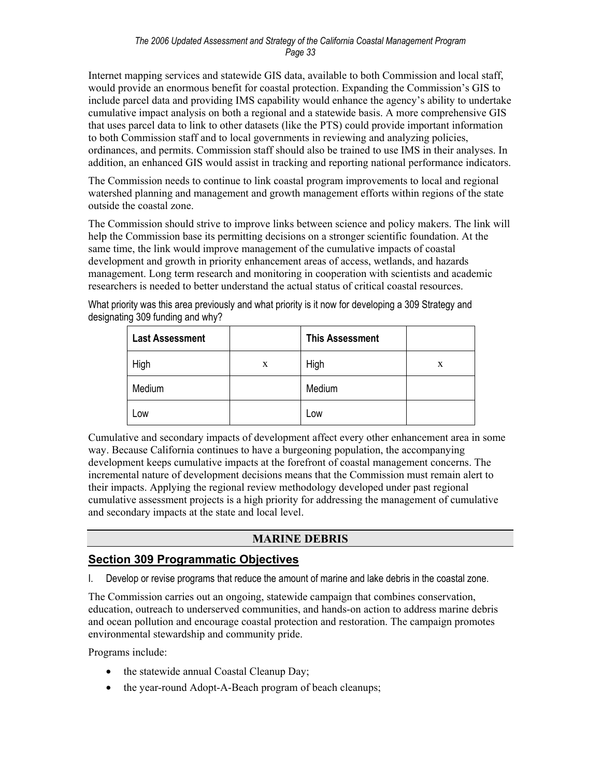Internet mapping services and statewide GIS data, available to both Commission and local staff, would provide an enormous benefit for coastal protection. Expanding the Commission's GIS to include parcel data and providing IMS capability would enhance the agency's ability to undertake cumulative impact analysis on both a regional and a statewide basis. A more comprehensive GIS that uses parcel data to link to other datasets (like the PTS) could provide important information to both Commission staff and to local governments in reviewing and analyzing policies, ordinances, and permits. Commission staff should also be trained to use IMS in their analyses. In addition, an enhanced GIS would assist in tracking and reporting national performance indicators.

The Commission needs to continue to link coastal program improvements to local and regional watershed planning and management and growth management efforts within regions of the state outside the coastal zone.

The Commission should strive to improve links between science and policy makers. The link will help the Commission base its permitting decisions on a stronger scientific foundation. At the same time, the link would improve management of the cumulative impacts of coastal development and growth in priority enhancement areas of access, wetlands, and hazards management. Long term research and monitoring in cooperation with scientists and academic researchers is needed to better understand the actual status of critical coastal resources.

What priority was this area previously and what priority is it now for developing a 309 Strategy and designating 309 funding and why?

| <b>Last Assessment</b> |   | <b>This Assessment</b> |   |
|------------------------|---|------------------------|---|
| High                   | X | High                   | X |
| Medium                 |   | Medium                 |   |
| Low                    |   | Low                    |   |

Cumulative and secondary impacts of development affect every other enhancement area in some way. Because California continues to have a burgeoning population, the accompanying development keeps cumulative impacts at the forefront of coastal management concerns. The incremental nature of development decisions means that the Commission must remain alert to their impacts. Applying the regional review methodology developed under past regional cumulative assessment projects is a high priority for addressing the management of cumulative and secondary impacts at the state and local level.

## **MARINE DEBRIS**

## **Section 309 Programmatic Objectives**

I. Develop or revise programs that reduce the amount of marine and lake debris in the coastal zone.

The Commission carries out an ongoing, statewide campaign that combines conservation, education, outreach to underserved communities, and hands-on action to address marine debris and ocean pollution and encourage coastal protection and restoration. The campaign promotes environmental stewardship and community pride.

Programs include:

- the statewide annual Coastal Cleanup Day;
- the year-round Adopt-A-Beach program of beach cleanups;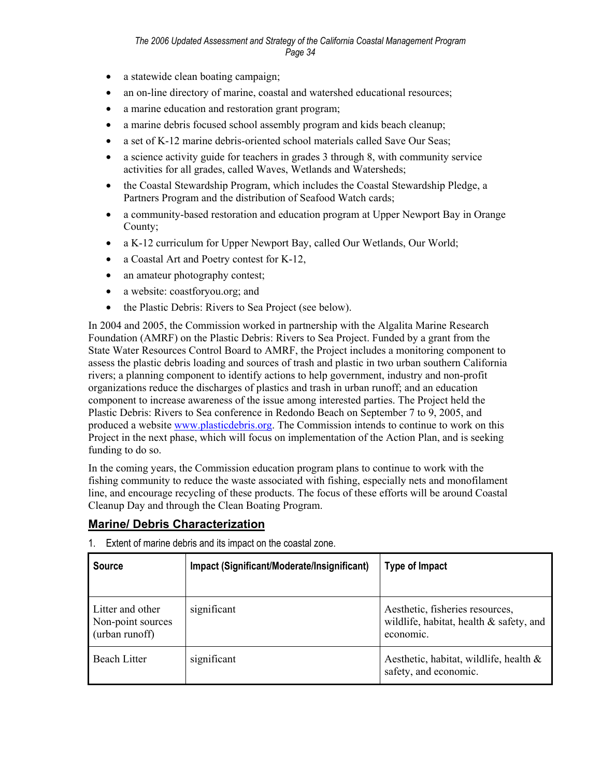- a statewide clean boating campaign;
- an on-line directory of marine, coastal and watershed educational resources;
- a marine education and restoration grant program;
- a marine debris focused school assembly program and kids beach cleanup;
- a set of K-12 marine debris-oriented school materials called Save Our Seas;
- a science activity guide for teachers in grades 3 through 8, with community service activities for all grades, called Waves, Wetlands and Watersheds;
- the Coastal Stewardship Program, which includes the Coastal Stewardship Pledge, a Partners Program and the distribution of Seafood Watch cards;
- a community-based restoration and education program at Upper Newport Bay in Orange County;
- a K-12 curriculum for Upper Newport Bay, called Our Wetlands, Our World;
- a Coastal Art and Poetry contest for K-12,
- an amateur photography contest;
- a website: coastforyou.org; and
- the Plastic Debris: Rivers to Sea Project (see below).

In 2004 and 2005, the Commission worked in partnership with the Algalita Marine Research Foundation (AMRF) on the Plastic Debris: Rivers to Sea Project. Funded by a grant from the State Water Resources Control Board to AMRF, the Project includes a monitoring component to assess the plastic debris loading and sources of trash and plastic in two urban southern California rivers; a planning component to identify actions to help government, industry and non-profit organizations reduce the discharges of plastics and trash in urban runoff; and an education component to increase awareness of the issue among interested parties. The Project held the Plastic Debris: Rivers to Sea conference in Redondo Beach on September 7 to 9, 2005, and produced a website www.plasticdebris.org. The Commission intends to continue to work on this Project in the next phase, which will focus on implementation of the Action Plan, and is seeking funding to do so.

In the coming years, the Commission education program plans to continue to work with the fishing community to reduce the waste associated with fishing, especially nets and monofilament line, and encourage recycling of these products. The focus of these efforts will be around Coastal Cleanup Day and through the Clean Boating Program.

#### **Marine/ Debris Characterization**

| <b>Source</b>                                           | Impact (Significant/Moderate/Insignificant) | <b>Type of Impact</b>                                                                   |
|---------------------------------------------------------|---------------------------------------------|-----------------------------------------------------------------------------------------|
| Litter and other<br>Non-point sources<br>(urban runoff) | significant                                 | Aesthetic, fisheries resources,<br>wildlife, habitat, health & safety, and<br>economic. |
| <b>Beach Litter</b>                                     | significant                                 | Aesthetic, habitat, wildlife, health $\&$<br>safety, and economic.                      |

1. Extent of marine debris and its impact on the coastal zone.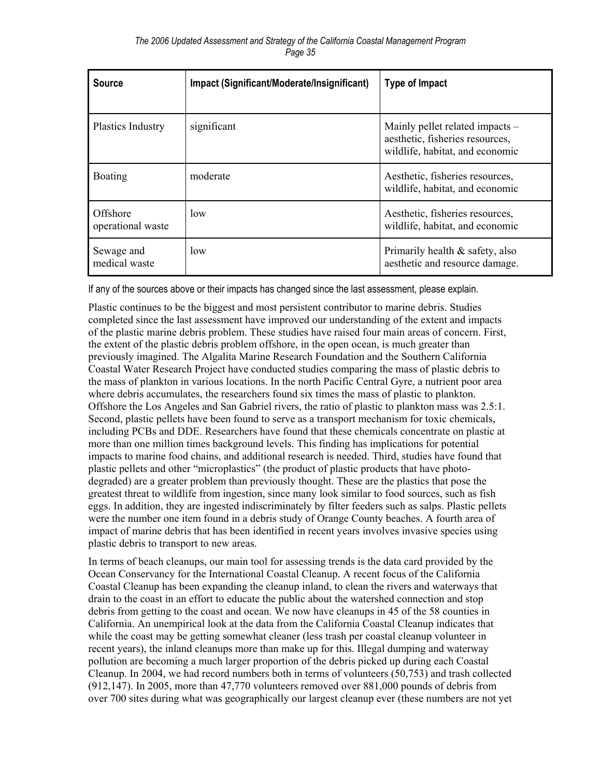| <b>Source</b>                 | Impact (Significant/Moderate/Insignificant) | <b>Type of Impact</b>                                                                                 |
|-------------------------------|---------------------------------------------|-------------------------------------------------------------------------------------------------------|
| <b>Plastics Industry</b>      | significant                                 | Mainly pellet related impacts –<br>aesthetic, fisheries resources,<br>wildlife, habitat, and economic |
| <b>Boating</b>                | moderate                                    | Aesthetic, fisheries resources,<br>wildlife, habitat, and economic                                    |
| Offshore<br>operational waste | low                                         | Aesthetic, fisheries resources,<br>wildlife, habitat, and economic                                    |
| Sewage and<br>medical waste   | low                                         | Primarily health $\&$ safety, also<br>aesthetic and resource damage.                                  |

If any of the sources above or their impacts has changed since the last assessment, please explain.

Plastic continues to be the biggest and most persistent contributor to marine debris. Studies completed since the last assessment have improved our understanding of the extent and impacts of the plastic marine debris problem. These studies have raised four main areas of concern. First, the extent of the plastic debris problem offshore, in the open ocean, is much greater than previously imagined. The Algalita Marine Research Foundation and the Southern California Coastal Water Research Project have conducted studies comparing the mass of plastic debris to the mass of plankton in various locations. In the north Pacific Central Gyre, a nutrient poor area where debris accumulates, the researchers found six times the mass of plastic to plankton. Offshore the Los Angeles and San Gabriel rivers, the ratio of plastic to plankton mass was 2.5:1. Second, plastic pellets have been found to serve as a transport mechanism for toxic chemicals, including PCBs and DDE. Researchers have found that these chemicals concentrate on plastic at more than one million times background levels. This finding has implications for potential impacts to marine food chains, and additional research is needed. Third, studies have found that plastic pellets and other "microplastics" (the product of plastic products that have photodegraded) are a greater problem than previously thought. These are the plastics that pose the greatest threat to wildlife from ingestion, since many look similar to food sources, such as fish eggs. In addition, they are ingested indiscriminately by filter feeders such as salps. Plastic pellets were the number one item found in a debris study of Orange County beaches. A fourth area of impact of marine debris that has been identified in recent years involves invasive species using plastic debris to transport to new areas.

In terms of beach cleanups, our main tool for assessing trends is the data card provided by the Ocean Conservancy for the International Coastal Cleanup. A recent focus of the California Coastal Cleanup has been expanding the cleanup inland, to clean the rivers and waterways that drain to the coast in an effort to educate the public about the watershed connection and stop debris from getting to the coast and ocean. We now have cleanups in 45 of the 58 counties in California. An unempirical look at the data from the California Coastal Cleanup indicates that while the coast may be getting somewhat cleaner (less trash per coastal cleanup volunteer in recent years), the inland cleanups more than make up for this. Illegal dumping and waterway pollution are becoming a much larger proportion of the debris picked up during each Coastal Cleanup. In 2004, we had record numbers both in terms of volunteers (50,753) and trash collected (912,147). In 2005, more than 47,770 volunteers removed over 881,000 pounds of debris from over 700 sites during what was geographically our largest cleanup ever (these numbers are not yet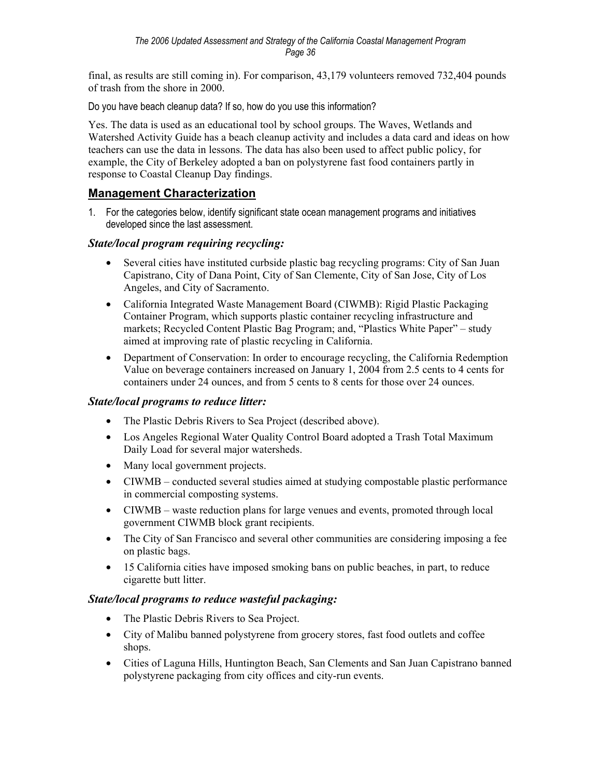final, as results are still coming in). For comparison, 43,179 volunteers removed 732,404 pounds of trash from the shore in 2000.

Do you have beach cleanup data? If so, how do you use this information?

Yes. The data is used as an educational tool by school groups. The Waves, Wetlands and Watershed Activity Guide has a beach cleanup activity and includes a data card and ideas on how teachers can use the data in lessons. The data has also been used to affect public policy, for example, the City of Berkeley adopted a ban on polystyrene fast food containers partly in response to Coastal Cleanup Day findings.

## **Management Characterization**

1. For the categories below, identify significant state ocean management programs and initiatives developed since the last assessment.

## *State/local program requiring recycling:*

- Several cities have instituted curbside plastic bag recycling programs: City of San Juan Capistrano, City of Dana Point, City of San Clemente, City of San Jose, City of Los Angeles, and City of Sacramento.
- California Integrated Waste Management Board (CIWMB): Rigid Plastic Packaging Container Program, which supports plastic container recycling infrastructure and markets; Recycled Content Plastic Bag Program; and, "Plastics White Paper" – study aimed at improving rate of plastic recycling in California.
- Department of Conservation: In order to encourage recycling, the California Redemption Value on beverage containers increased on January 1, 2004 from 2.5 cents to 4 cents for containers under 24 ounces, and from 5 cents to 8 cents for those over 24 ounces.

## *State/local programs to reduce litter:*

- The Plastic Debris Rivers to Sea Project (described above).
- Los Angeles Regional Water Quality Control Board adopted a Trash Total Maximum Daily Load for several major watersheds.
- Many local government projects.
- CIWMB conducted several studies aimed at studying compostable plastic performance in commercial composting systems.
- CIWMB waste reduction plans for large venues and events, promoted through local government CIWMB block grant recipients.
- The City of San Francisco and several other communities are considering imposing a fee on plastic bags.
- 15 California cities have imposed smoking bans on public beaches, in part, to reduce cigarette butt litter.

#### *State/local programs to reduce wasteful packaging:*

- The Plastic Debris Rivers to Sea Project.
- City of Malibu banned polystyrene from grocery stores, fast food outlets and coffee shops.
- Cities of Laguna Hills, Huntington Beach, San Clements and San Juan Capistrano banned polystyrene packaging from city offices and city-run events.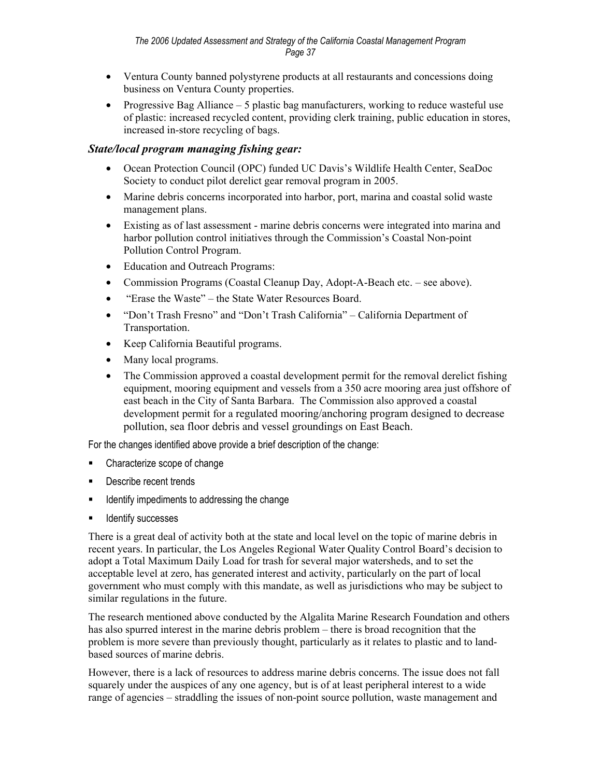- Ventura County banned polystyrene products at all restaurants and concessions doing business on Ventura County properties.
- Progressive Bag Alliance  $-5$  plastic bag manufacturers, working to reduce wasteful use of plastic: increased recycled content, providing clerk training, public education in stores, increased in-store recycling of bags.

#### *State/local program managing fishing gear:*

- Ocean Protection Council (OPC) funded UC Davis's Wildlife Health Center, SeaDoc Society to conduct pilot derelict gear removal program in 2005.
- Marine debris concerns incorporated into harbor, port, marina and coastal solid waste management plans.
- Existing as of last assessment marine debris concerns were integrated into marina and harbor pollution control initiatives through the Commission's Coastal Non-point Pollution Control Program.
- Education and Outreach Programs:
- Commission Programs (Coastal Cleanup Day, Adopt-A-Beach etc. see above).
- "Erase the Waste" the State Water Resources Board.
- "Don't Trash Fresno" and "Don't Trash California" California Department of Transportation.
- Keep California Beautiful programs.
- Many local programs.
- The Commission approved a coastal development permit for the removal derelict fishing equipment, mooring equipment and vessels from a 350 acre mooring area just offshore of east beach in the City of Santa Barbara. The Commission also approved a coastal development permit for a regulated mooring/anchoring program designed to decrease pollution, sea floor debris and vessel groundings on East Beach.

For the changes identified above provide a brief description of the change:

- Characterize scope of change
- **Describe recent trends**
- **If all identify impediments to addressing the change**
- **IDENTIFY SUCCESSES**

There is a great deal of activity both at the state and local level on the topic of marine debris in recent years. In particular, the Los Angeles Regional Water Quality Control Board's decision to adopt a Total Maximum Daily Load for trash for several major watersheds, and to set the acceptable level at zero, has generated interest and activity, particularly on the part of local government who must comply with this mandate, as well as jurisdictions who may be subject to similar regulations in the future.

The research mentioned above conducted by the Algalita Marine Research Foundation and others has also spurred interest in the marine debris problem – there is broad recognition that the problem is more severe than previously thought, particularly as it relates to plastic and to landbased sources of marine debris.

However, there is a lack of resources to address marine debris concerns. The issue does not fall squarely under the auspices of any one agency, but is of at least peripheral interest to a wide range of agencies – straddling the issues of non-point source pollution, waste management and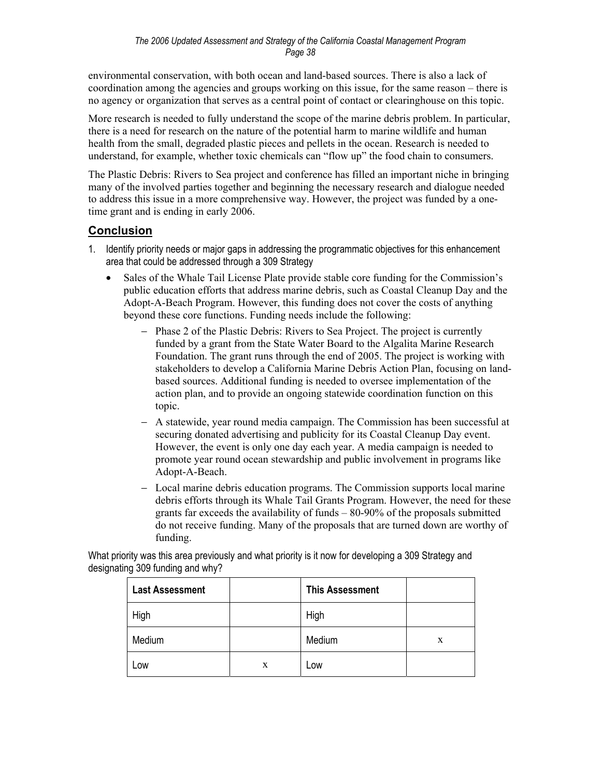environmental conservation, with both ocean and land-based sources. There is also a lack of coordination among the agencies and groups working on this issue, for the same reason – there is no agency or organization that serves as a central point of contact or clearinghouse on this topic.

More research is needed to fully understand the scope of the marine debris problem. In particular, there is a need for research on the nature of the potential harm to marine wildlife and human health from the small, degraded plastic pieces and pellets in the ocean. Research is needed to understand, for example, whether toxic chemicals can "flow up" the food chain to consumers.

The Plastic Debris: Rivers to Sea project and conference has filled an important niche in bringing many of the involved parties together and beginning the necessary research and dialogue needed to address this issue in a more comprehensive way. However, the project was funded by a onetime grant and is ending in early 2006.

## **Conclusion**

- 1. Identify priority needs or major gaps in addressing the programmatic objectives for this enhancement area that could be addressed through a 309 Strategy
	- Sales of the Whale Tail License Plate provide stable core funding for the Commission's public education efforts that address marine debris, such as Coastal Cleanup Day and the Adopt-A-Beach Program. However, this funding does not cover the costs of anything beyond these core functions. Funding needs include the following:
		- − Phase 2 of the Plastic Debris: Rivers to Sea Project. The project is currently funded by a grant from the State Water Board to the Algalita Marine Research Foundation. The grant runs through the end of 2005. The project is working with stakeholders to develop a California Marine Debris Action Plan, focusing on landbased sources. Additional funding is needed to oversee implementation of the action plan, and to provide an ongoing statewide coordination function on this topic.
		- − A statewide, year round media campaign. The Commission has been successful at securing donated advertising and publicity for its Coastal Cleanup Day event. However, the event is only one day each year. A media campaign is needed to promote year round ocean stewardship and public involvement in programs like Adopt-A-Beach.
		- − Local marine debris education programs. The Commission supports local marine debris efforts through its Whale Tail Grants Program. However, the need for these grants far exceeds the availability of funds – 80-90% of the proposals submitted do not receive funding. Many of the proposals that are turned down are worthy of funding.

What priority was this area previously and what priority is it now for developing a 309 Strategy and designating 309 funding and why?

| <b>Last Assessment</b> |   | <b>This Assessment</b> |   |
|------------------------|---|------------------------|---|
| High                   |   | High                   |   |
| Medium                 |   | Medium                 | X |
| Low                    | X | Low                    |   |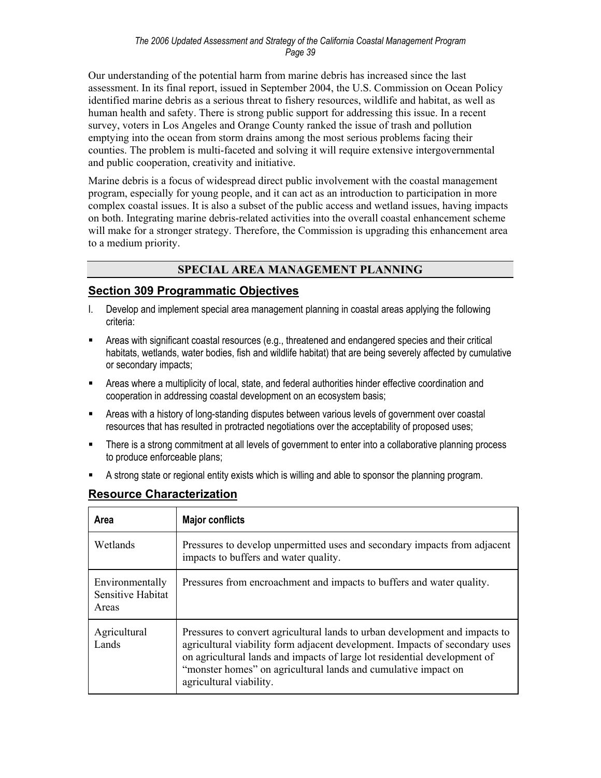Our understanding of the potential harm from marine debris has increased since the last assessment. In its final report, issued in September 2004, the U.S. Commission on Ocean Policy identified marine debris as a serious threat to fishery resources, wildlife and habitat, as well as human health and safety. There is strong public support for addressing this issue. In a recent survey, voters in Los Angeles and Orange County ranked the issue of trash and pollution emptying into the ocean from storm drains among the most serious problems facing their counties. The problem is multi-faceted and solving it will require extensive intergovernmental and public cooperation, creativity and initiative.

Marine debris is a focus of widespread direct public involvement with the coastal management program, especially for young people, and it can act as an introduction to participation in more complex coastal issues. It is also a subset of the public access and wetland issues, having impacts on both. Integrating marine debris-related activities into the overall coastal enhancement scheme will make for a stronger strategy. Therefore, the Commission is upgrading this enhancement area to a medium priority.

## **SPECIAL AREA MANAGEMENT PLANNING**

## **Section 309 Programmatic Objectives**

- I. Develop and implement special area management planning in coastal areas applying the following criteria:
- Areas with significant coastal resources (e.g., threatened and endangered species and their critical habitats, wetlands, water bodies, fish and wildlife habitat) that are being severely affected by cumulative or secondary impacts;
- Areas where a multiplicity of local, state, and federal authorities hinder effective coordination and cooperation in addressing coastal development on an ecosystem basis;
- Areas with a history of long-standing disputes between various levels of government over coastal resources that has resulted in protracted negotiations over the acceptability of proposed uses;
- There is a strong commitment at all levels of government to enter into a collaborative planning process to produce enforceable plans;
- A strong state or regional entity exists which is willing and able to sponsor the planning program.

| Area                                          | <b>Major conflicts</b>                                                                                                                                                                                                                                                                                                               |
|-----------------------------------------------|--------------------------------------------------------------------------------------------------------------------------------------------------------------------------------------------------------------------------------------------------------------------------------------------------------------------------------------|
| Wetlands                                      | Pressures to develop unpermitted uses and secondary impacts from adjacent<br>impacts to buffers and water quality.                                                                                                                                                                                                                   |
| Environmentally<br>Sensitive Habitat<br>Areas | Pressures from encroachment and impacts to buffers and water quality.                                                                                                                                                                                                                                                                |
| Agricultural<br>Lands                         | Pressures to convert agricultural lands to urban development and impacts to<br>agricultural viability form adjacent development. Impacts of secondary uses<br>on agricultural lands and impacts of large lot residential development of<br>"monster homes" on agricultural lands and cumulative impact on<br>agricultural viability. |

## **Resource Characterization**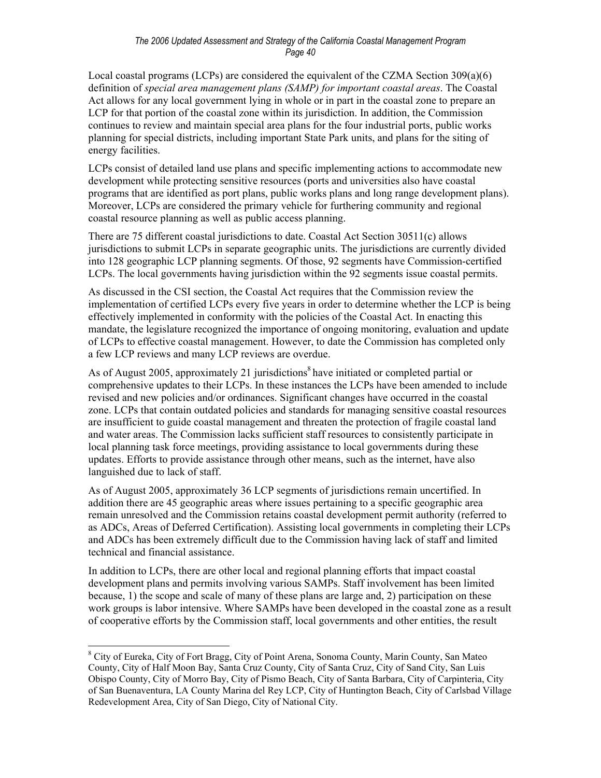#### *The 2006 Updated Assessment and Strategy of the California Coastal Management Program Page 40*

Local coastal programs (LCPs) are considered the equivalent of the CZMA Section  $309(a)(6)$ definition of *special area management plans (SAMP) for important coastal areas*. The Coastal Act allows for any local government lying in whole or in part in the coastal zone to prepare an LCP for that portion of the coastal zone within its jurisdiction. In addition, the Commission continues to review and maintain special area plans for the four industrial ports, public works planning for special districts, including important State Park units, and plans for the siting of energy facilities.

LCPs consist of detailed land use plans and specific implementing actions to accommodate new development while protecting sensitive resources (ports and universities also have coastal programs that are identified as port plans, public works plans and long range development plans). Moreover, LCPs are considered the primary vehicle for furthering community and regional coastal resource planning as well as public access planning.

There are 75 different coastal jurisdictions to date. Coastal Act Section 30511(c) allows jurisdictions to submit LCPs in separate geographic units. The jurisdictions are currently divided into 128 geographic LCP planning segments. Of those, 92 segments have Commission-certified LCPs. The local governments having jurisdiction within the 92 segments issue coastal permits.

As discussed in the CSI section, the Coastal Act requires that the Commission review the implementation of certified LCPs every five years in order to determine whether the LCP is being effectively implemented in conformity with the policies of the Coastal Act. In enacting this mandate, the legislature recognized the importance of ongoing monitoring, evaluation and update of LCPs to effective coastal management. However, to date the Commission has completed only a few LCP reviews and many LCP reviews are overdue.

As of August 2005, approximately 21 jurisdictions<sup>8</sup> have initiated or completed partial or comprehensive updates to their LCPs. In these instances the LCPs have been amended to include revised and new policies and/or ordinances. Significant changes have occurred in the coastal zone. LCPs that contain outdated policies and standards for managing sensitive coastal resources are insufficient to guide coastal management and threaten the protection of fragile coastal land and water areas. The Commission lacks sufficient staff resources to consistently participate in local planning task force meetings, providing assistance to local governments during these updates. Efforts to provide assistance through other means, such as the internet, have also languished due to lack of staff.

As of August 2005, approximately 36 LCP segments of jurisdictions remain uncertified. In addition there are 45 geographic areas where issues pertaining to a specific geographic area remain unresolved and the Commission retains coastal development permit authority (referred to as ADCs, Areas of Deferred Certification). Assisting local governments in completing their LCPs and ADCs has been extremely difficult due to the Commission having lack of staff and limited technical and financial assistance.

In addition to LCPs, there are other local and regional planning efforts that impact coastal development plans and permits involving various SAMPs. Staff involvement has been limited because, 1) the scope and scale of many of these plans are large and, 2) participation on these work groups is labor intensive. Where SAMPs have been developed in the coastal zone as a result of cooperative efforts by the Commission staff, local governments and other entities, the result

1

<sup>&</sup>lt;sup>8</sup> City of Eureka, City of Fort Bragg, City of Point Arena, Sonoma County, Marin County, San Mateo County, City of Half Moon Bay, Santa Cruz County, City of Santa Cruz, City of Sand City, San Luis Obispo County, City of Morro Bay, City of Pismo Beach, City of Santa Barbara, City of Carpinteria, City of San Buenaventura, LA County Marina del Rey LCP, City of Huntington Beach, City of Carlsbad Village Redevelopment Area, City of San Diego, City of National City.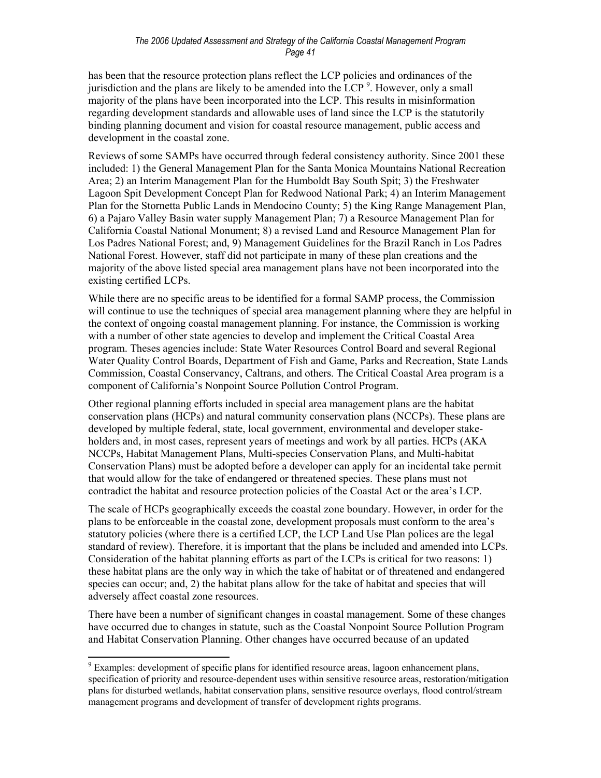has been that the resource protection plans reflect the LCP policies and ordinances of the jurisdiction and the plans are likely to be amended into the LCP<sup>9</sup>. However, only a small majority of the plans have been incorporated into the LCP. This results in misinformation regarding development standards and allowable uses of land since the LCP is the statutorily binding planning document and vision for coastal resource management, public access and development in the coastal zone.

Reviews of some SAMPs have occurred through federal consistency authority. Since 2001 these included: 1) the General Management Plan for the Santa Monica Mountains National Recreation Area; 2) an Interim Management Plan for the Humboldt Bay South Spit; 3) the Freshwater Lagoon Spit Development Concept Plan for Redwood National Park; 4) an Interim Management Plan for the Stornetta Public Lands in Mendocino County; 5) the King Range Management Plan, 6) a Pajaro Valley Basin water supply Management Plan; 7) a Resource Management Plan for California Coastal National Monument; 8) a revised Land and Resource Management Plan for Los Padres National Forest; and, 9) Management Guidelines for the Brazil Ranch in Los Padres National Forest. However, staff did not participate in many of these plan creations and the majority of the above listed special area management plans have not been incorporated into the existing certified LCPs.

While there are no specific areas to be identified for a formal SAMP process, the Commission will continue to use the techniques of special area management planning where they are helpful in the context of ongoing coastal management planning. For instance, the Commission is working with a number of other state agencies to develop and implement the Critical Coastal Area program. Theses agencies include: State Water Resources Control Board and several Regional Water Quality Control Boards, Department of Fish and Game, Parks and Recreation, State Lands Commission, Coastal Conservancy, Caltrans, and others. The Critical Coastal Area program is a component of California's Nonpoint Source Pollution Control Program.

Other regional planning efforts included in special area management plans are the habitat conservation plans (HCPs) and natural community conservation plans (NCCPs). These plans are developed by multiple federal, state, local government, environmental and developer stakeholders and, in most cases, represent years of meetings and work by all parties. HCPs (AKA NCCPs, Habitat Management Plans, Multi-species Conservation Plans, and Multi-habitat Conservation Plans) must be adopted before a developer can apply for an incidental take permit that would allow for the take of endangered or threatened species. These plans must not contradict the habitat and resource protection policies of the Coastal Act or the area's LCP.

The scale of HCPs geographically exceeds the coastal zone boundary. However, in order for the plans to be enforceable in the coastal zone, development proposals must conform to the area's statutory policies (where there is a certified LCP, the LCP Land Use Plan polices are the legal standard of review). Therefore, it is important that the plans be included and amended into LCPs. Consideration of the habitat planning efforts as part of the LCPs is critical for two reasons: 1) these habitat plans are the only way in which the take of habitat or of threatened and endangered species can occur; and, 2) the habitat plans allow for the take of habitat and species that will adversely affect coastal zone resources.

There have been a number of significant changes in coastal management. Some of these changes have occurred due to changes in statute, such as the Coastal Nonpoint Source Pollution Program and Habitat Conservation Planning. Other changes have occurred because of an updated

<sup>&</sup>lt;sup>9</sup> Examples: development of specific plans for identified resource areas, lagoon enhancement plans, specification of priority and resource-dependent uses within sensitive resource areas, restoration/mitigation plans for disturbed wetlands, habitat conservation plans, sensitive resource overlays, flood control/stream management programs and development of transfer of development rights programs.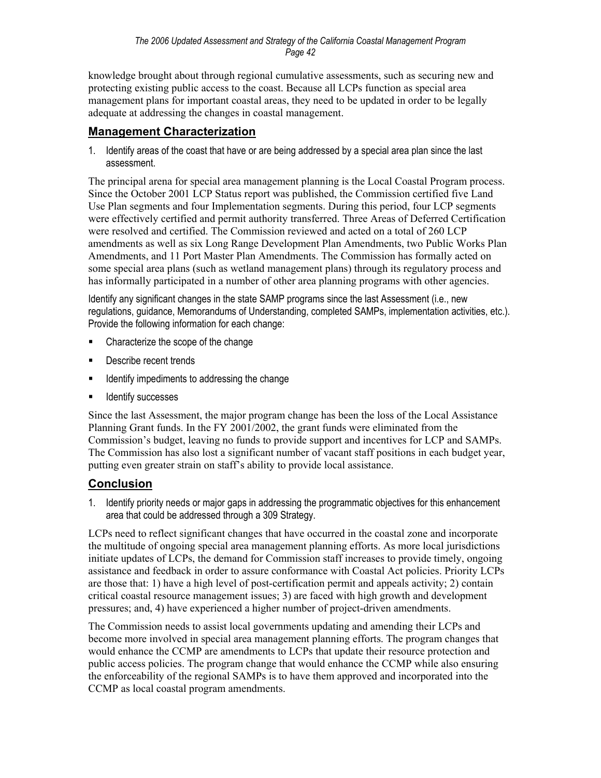knowledge brought about through regional cumulative assessments, such as securing new and protecting existing public access to the coast. Because all LCPs function as special area management plans for important coastal areas, they need to be updated in order to be legally adequate at addressing the changes in coastal management.

## **Management Characterization**

1. Identify areas of the coast that have or are being addressed by a special area plan since the last assessment.

The principal arena for special area management planning is the Local Coastal Program process. Since the October 2001 LCP Status report was published, the Commission certified five Land Use Plan segments and four Implementation segments. During this period, four LCP segments were effectively certified and permit authority transferred. Three Areas of Deferred Certification were resolved and certified. The Commission reviewed and acted on a total of 260 LCP amendments as well as six Long Range Development Plan Amendments, two Public Works Plan Amendments, and 11 Port Master Plan Amendments. The Commission has formally acted on some special area plans (such as wetland management plans) through its regulatory process and has informally participated in a number of other area planning programs with other agencies.

Identify any significant changes in the state SAMP programs since the last Assessment (i.e., new regulations, guidance, Memorandums of Understanding, completed SAMPs, implementation activities, etc.). Provide the following information for each change:

- Characterize the scope of the change
- **Describe recent trends**
- Identify impediments to addressing the change
- Identify successes

Since the last Assessment, the major program change has been the loss of the Local Assistance Planning Grant funds. In the FY 2001/2002, the grant funds were eliminated from the Commission's budget, leaving no funds to provide support and incentives for LCP and SAMPs. The Commission has also lost a significant number of vacant staff positions in each budget year, putting even greater strain on staff's ability to provide local assistance.

## **Conclusion**

1. Identify priority needs or major gaps in addressing the programmatic objectives for this enhancement area that could be addressed through a 309 Strategy.

LCPs need to reflect significant changes that have occurred in the coastal zone and incorporate the multitude of ongoing special area management planning efforts. As more local jurisdictions initiate updates of LCPs, the demand for Commission staff increases to provide timely, ongoing assistance and feedback in order to assure conformance with Coastal Act policies. Priority LCPs are those that: 1) have a high level of post-certification permit and appeals activity; 2) contain critical coastal resource management issues; 3) are faced with high growth and development pressures; and, 4) have experienced a higher number of project-driven amendments.

The Commission needs to assist local governments updating and amending their LCPs and become more involved in special area management planning efforts. The program changes that would enhance the CCMP are amendments to LCPs that update their resource protection and public access policies. The program change that would enhance the CCMP while also ensuring the enforceability of the regional SAMPs is to have them approved and incorporated into the CCMP as local coastal program amendments.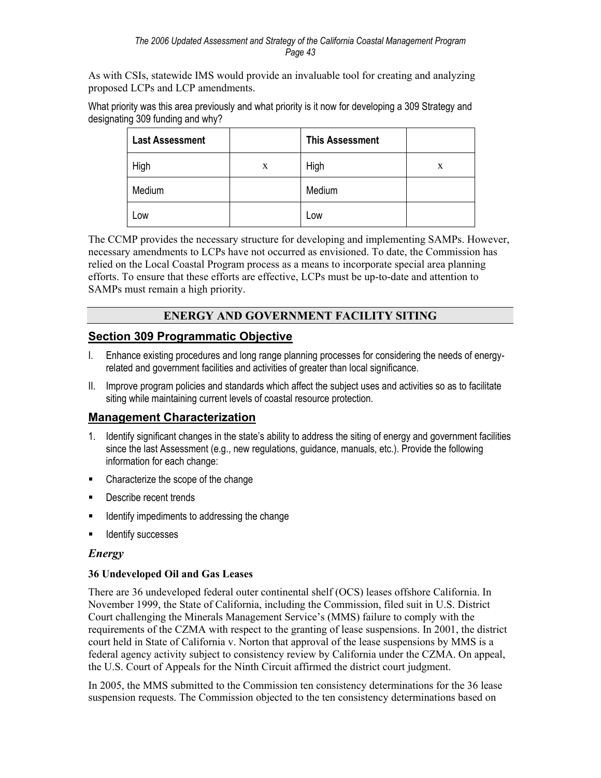As with CSIs, statewide IMS would provide an invaluable tool for creating and analyzing proposed LCPs and LCP amendments.

What priority was this area previously and what priority is it now for developing a 309 Strategy and designating 309 funding and why?

| <b>Last Assessment</b> |   | <b>This Assessment</b> |   |
|------------------------|---|------------------------|---|
| High                   | X | High                   | X |
| Medium                 |   | Medium                 |   |
| Low                    |   | Low                    |   |

The CCMP provides the necessary structure for developing and implementing SAMPs. However, necessary amendments to LCPs have not occurred as envisioned. To date, the Commission has relied on the Local Coastal Program process as a means to incorporate special area planning efforts. To ensure that these efforts are effective, LCPs must be up-to-date and attention to SAMPs must remain a high priority.

## **ENERGY AND GOVERNMENT FACILITY SITING**

## **Section 309 Programmatic Objective**

- I. Enhance existing procedures and long range planning processes for considering the needs of energyrelated and government facilities and activities of greater than local significance.
- II. Improve program policies and standards which affect the subject uses and activities so as to facilitate siting while maintaining current levels of coastal resource protection.

## **Management Characterization**

- 1. Identify significant changes in the state's ability to address the siting of energy and government facilities since the last Assessment (e.g., new regulations, guidance, manuals, etc.). Provide the following information for each change:
- Characterize the scope of the change
- **Describe recent trends**
- **If all identify impediments to addressing the change**
- **Identify successes**

#### *Energy*

#### **36 Undeveloped Oil and Gas Leases**

There are 36 undeveloped federal outer continental shelf (OCS) leases offshore California. In November 1999, the State of California, including the Commission, filed suit in U.S. District Court challenging the Minerals Management Service's (MMS) failure to comply with the requirements of the CZMA with respect to the granting of lease suspensions. In 2001, the district court held in State of California v. Norton that approval of the lease suspensions by MMS is a federal agency activity subject to consistency review by California under the CZMA. On appeal, the U.S. Court of Appeals for the Ninth Circuit affirmed the district court judgment.

In 2005, the MMS submitted to the Commission ten consistency determinations for the 36 lease suspension requests. The Commission objected to the ten consistency determinations based on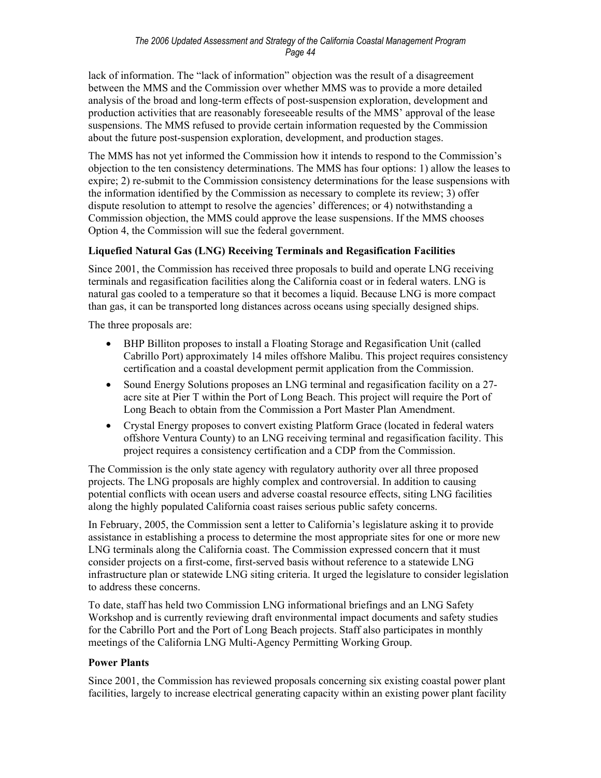lack of information. The "lack of information" objection was the result of a disagreement between the MMS and the Commission over whether MMS was to provide a more detailed analysis of the broad and long-term effects of post-suspension exploration, development and production activities that are reasonably foreseeable results of the MMS' approval of the lease suspensions. The MMS refused to provide certain information requested by the Commission about the future post-suspension exploration, development, and production stages.

The MMS has not yet informed the Commission how it intends to respond to the Commission's objection to the ten consistency determinations. The MMS has four options: 1) allow the leases to expire; 2) re-submit to the Commission consistency determinations for the lease suspensions with the information identified by the Commission as necessary to complete its review; 3) offer dispute resolution to attempt to resolve the agencies' differences; or 4) notwithstanding a Commission objection, the MMS could approve the lease suspensions. If the MMS chooses Option 4, the Commission will sue the federal government.

## **Liquefied Natural Gas (LNG) Receiving Terminals and Regasification Facilities**

Since 2001, the Commission has received three proposals to build and operate LNG receiving terminals and regasification facilities along the California coast or in federal waters. LNG is natural gas cooled to a temperature so that it becomes a liquid. Because LNG is more compact than gas, it can be transported long distances across oceans using specially designed ships.

The three proposals are:

- BHP Billiton proposes to install a Floating Storage and Regasification Unit (called Cabrillo Port) approximately 14 miles offshore Malibu. This project requires consistency certification and a coastal development permit application from the Commission.
- Sound Energy Solutions proposes an LNG terminal and regasification facility on a 27acre site at Pier T within the Port of Long Beach. This project will require the Port of Long Beach to obtain from the Commission a Port Master Plan Amendment.
- Crystal Energy proposes to convert existing Platform Grace (located in federal waters offshore Ventura County) to an LNG receiving terminal and regasification facility. This project requires a consistency certification and a CDP from the Commission.

The Commission is the only state agency with regulatory authority over all three proposed projects. The LNG proposals are highly complex and controversial. In addition to causing potential conflicts with ocean users and adverse coastal resource effects, siting LNG facilities along the highly populated California coast raises serious public safety concerns.

In February, 2005, the Commission sent a letter to California's legislature asking it to provide assistance in establishing a process to determine the most appropriate sites for one or more new LNG terminals along the California coast. The Commission expressed concern that it must consider projects on a first-come, first-served basis without reference to a statewide LNG infrastructure plan or statewide LNG siting criteria. It urged the legislature to consider legislation to address these concerns.

To date, staff has held two Commission LNG informational briefings and an LNG Safety Workshop and is currently reviewing draft environmental impact documents and safety studies for the Cabrillo Port and the Port of Long Beach projects. Staff also participates in monthly meetings of the California LNG Multi-Agency Permitting Working Group.

#### **Power Plants**

Since 2001, the Commission has reviewed proposals concerning six existing coastal power plant facilities, largely to increase electrical generating capacity within an existing power plant facility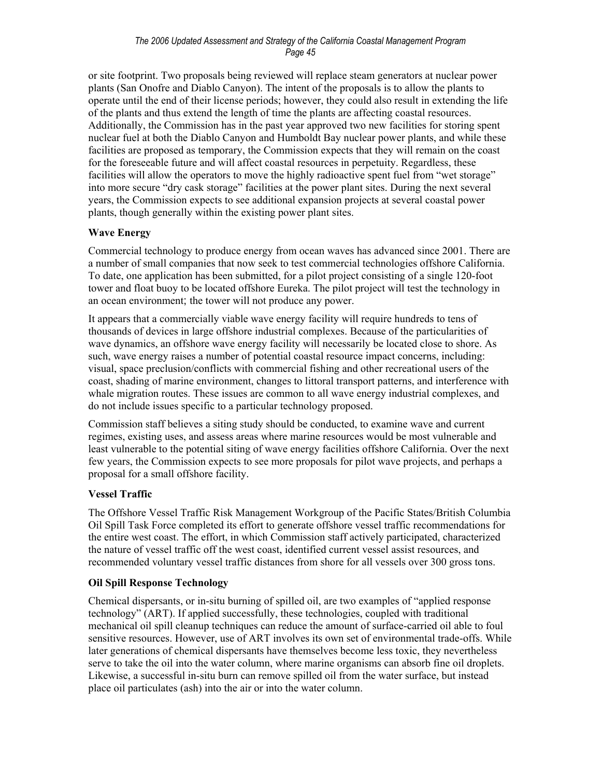or site footprint. Two proposals being reviewed will replace steam generators at nuclear power plants (San Onofre and Diablo Canyon). The intent of the proposals is to allow the plants to operate until the end of their license periods; however, they could also result in extending the life of the plants and thus extend the length of time the plants are affecting coastal resources. Additionally, the Commission has in the past year approved two new facilities for storing spent nuclear fuel at both the Diablo Canyon and Humboldt Bay nuclear power plants, and while these facilities are proposed as temporary, the Commission expects that they will remain on the coast for the foreseeable future and will affect coastal resources in perpetuity. Regardless, these facilities will allow the operators to move the highly radioactive spent fuel from "wet storage" into more secure "dry cask storage" facilities at the power plant sites. During the next several years, the Commission expects to see additional expansion projects at several coastal power plants, though generally within the existing power plant sites.

## **Wave Energy**

Commercial technology to produce energy from ocean waves has advanced since 2001. There are a number of small companies that now seek to test commercial technologies offshore California. To date, one application has been submitted, for a pilot project consisting of a single 120-foot tower and float buoy to be located offshore Eureka. The pilot project will test the technology in an ocean environment; the tower will not produce any power.

It appears that a commercially viable wave energy facility will require hundreds to tens of thousands of devices in large offshore industrial complexes. Because of the particularities of wave dynamics, an offshore wave energy facility will necessarily be located close to shore. As such, wave energy raises a number of potential coastal resource impact concerns, including: visual, space preclusion/conflicts with commercial fishing and other recreational users of the coast, shading of marine environment, changes to littoral transport patterns, and interference with whale migration routes. These issues are common to all wave energy industrial complexes, and do not include issues specific to a particular technology proposed.

Commission staff believes a siting study should be conducted, to examine wave and current regimes, existing uses, and assess areas where marine resources would be most vulnerable and least vulnerable to the potential siting of wave energy facilities offshore California. Over the next few years, the Commission expects to see more proposals for pilot wave projects, and perhaps a proposal for a small offshore facility.

#### **Vessel Traffic**

The Offshore Vessel Traffic Risk Management Workgroup of the Pacific States/British Columbia Oil Spill Task Force completed its effort to generate offshore vessel traffic recommendations for the entire west coast. The effort, in which Commission staff actively participated, characterized the nature of vessel traffic off the west coast, identified current vessel assist resources, and recommended voluntary vessel traffic distances from shore for all vessels over 300 gross tons.

#### **Oil Spill Response Technology**

Chemical dispersants, or in-situ burning of spilled oil, are two examples of "applied response technology" (ART). If applied successfully, these technologies, coupled with traditional mechanical oil spill cleanup techniques can reduce the amount of surface-carried oil able to foul sensitive resources. However, use of ART involves its own set of environmental trade-offs. While later generations of chemical dispersants have themselves become less toxic, they nevertheless serve to take the oil into the water column, where marine organisms can absorb fine oil droplets. Likewise, a successful in-situ burn can remove spilled oil from the water surface, but instead place oil particulates (ash) into the air or into the water column.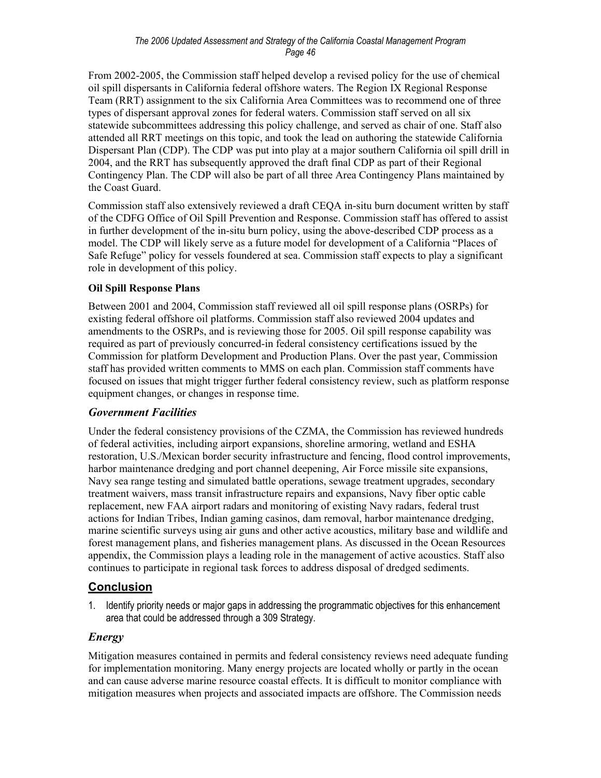From 2002-2005, the Commission staff helped develop a revised policy for the use of chemical oil spill dispersants in California federal offshore waters. The Region IX Regional Response Team (RRT) assignment to the six California Area Committees was to recommend one of three types of dispersant approval zones for federal waters. Commission staff served on all six statewide subcommittees addressing this policy challenge, and served as chair of one. Staff also attended all RRT meetings on this topic, and took the lead on authoring the statewide California Dispersant Plan (CDP). The CDP was put into play at a major southern California oil spill drill in 2004, and the RRT has subsequently approved the draft final CDP as part of their Regional Contingency Plan. The CDP will also be part of all three Area Contingency Plans maintained by the Coast Guard.

Commission staff also extensively reviewed a draft CEQA in-situ burn document written by staff of the CDFG Office of Oil Spill Prevention and Response. Commission staff has offered to assist in further development of the in-situ burn policy, using the above-described CDP process as a model. The CDP will likely serve as a future model for development of a California "Places of Safe Refuge" policy for vessels foundered at sea. Commission staff expects to play a significant role in development of this policy.

## **Oil Spill Response Plans**

Between 2001 and 2004, Commission staff reviewed all oil spill response plans (OSRPs) for existing federal offshore oil platforms. Commission staff also reviewed 2004 updates and amendments to the OSRPs, and is reviewing those for 2005. Oil spill response capability was required as part of previously concurred-in federal consistency certifications issued by the Commission for platform Development and Production Plans. Over the past year, Commission staff has provided written comments to MMS on each plan. Commission staff comments have focused on issues that might trigger further federal consistency review, such as platform response equipment changes, or changes in response time.

## *Government Facilities*

Under the federal consistency provisions of the CZMA, the Commission has reviewed hundreds of federal activities, including airport expansions, shoreline armoring, wetland and ESHA restoration, U.S./Mexican border security infrastructure and fencing, flood control improvements, harbor maintenance dredging and port channel deepening, Air Force missile site expansions, Navy sea range testing and simulated battle operations, sewage treatment upgrades, secondary treatment waivers, mass transit infrastructure repairs and expansions, Navy fiber optic cable replacement, new FAA airport radars and monitoring of existing Navy radars, federal trust actions for Indian Tribes, Indian gaming casinos, dam removal, harbor maintenance dredging, marine scientific surveys using air guns and other active acoustics, military base and wildlife and forest management plans, and fisheries management plans. As discussed in the Ocean Resources appendix, the Commission plays a leading role in the management of active acoustics. Staff also continues to participate in regional task forces to address disposal of dredged sediments.

## **Conclusion**

1. Identify priority needs or major gaps in addressing the programmatic objectives for this enhancement area that could be addressed through a 309 Strategy.

## *Energy*

Mitigation measures contained in permits and federal consistency reviews need adequate funding for implementation monitoring. Many energy projects are located wholly or partly in the ocean and can cause adverse marine resource coastal effects. It is difficult to monitor compliance with mitigation measures when projects and associated impacts are offshore. The Commission needs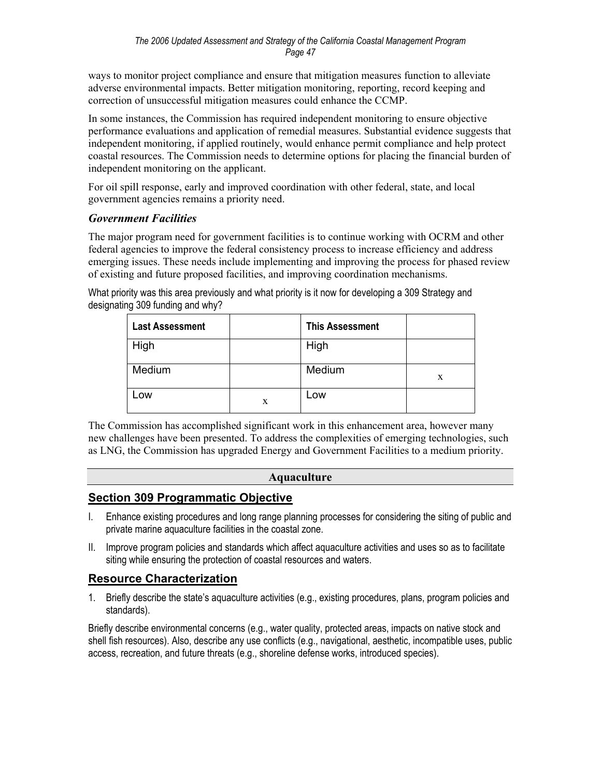ways to monitor project compliance and ensure that mitigation measures function to alleviate adverse environmental impacts. Better mitigation monitoring, reporting, record keeping and correction of unsuccessful mitigation measures could enhance the CCMP.

In some instances, the Commission has required independent monitoring to ensure objective performance evaluations and application of remedial measures. Substantial evidence suggests that independent monitoring, if applied routinely, would enhance permit compliance and help protect coastal resources. The Commission needs to determine options for placing the financial burden of independent monitoring on the applicant.

For oil spill response, early and improved coordination with other federal, state, and local government agencies remains a priority need.

## *Government Facilities*

The major program need for government facilities is to continue working with OCRM and other federal agencies to improve the federal consistency process to increase efficiency and address emerging issues. These needs include implementing and improving the process for phased review of existing and future proposed facilities, and improving coordination mechanisms.

What priority was this area previously and what priority is it now for developing a 309 Strategy and designating 309 funding and why?

| <b>Last Assessment</b> |   | <b>This Assessment</b> |   |
|------------------------|---|------------------------|---|
| High                   |   | High                   |   |
| Medium                 |   | Medium                 | X |
| Low                    | X | Low                    |   |

The Commission has accomplished significant work in this enhancement area, however many new challenges have been presented. To address the complexities of emerging technologies, such as LNG, the Commission has upgraded Energy and Government Facilities to a medium priority.

## **Aquaculture**

## **Section 309 Programmatic Objective**

- I. Enhance existing procedures and long range planning processes for considering the siting of public and private marine aquaculture facilities in the coastal zone.
- II. Improve program policies and standards which affect aquaculture activities and uses so as to facilitate siting while ensuring the protection of coastal resources and waters.

## **Resource Characterization**

1. Briefly describe the state's aquaculture activities (e.g., existing procedures, plans, program policies and standards).

Briefly describe environmental concerns (e.g., water quality, protected areas, impacts on native stock and shell fish resources). Also, describe any use conflicts (e.g., navigational, aesthetic, incompatible uses, public access, recreation, and future threats (e.g., shoreline defense works, introduced species).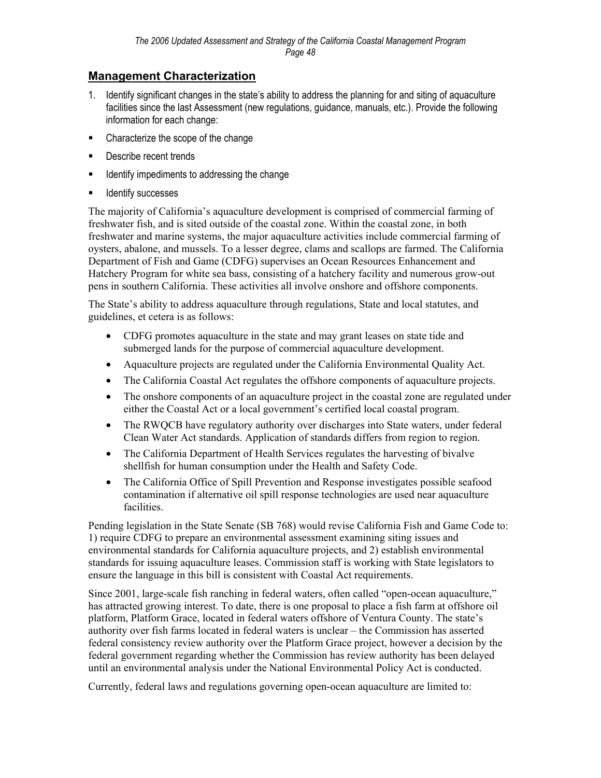## **Management Characterization**

- 1. Identify significant changes in the state's ability to address the planning for and siting of aquaculture facilities since the last Assessment (new regulations, guidance, manuals, etc.). Provide the following information for each change:
- Characterize the scope of the change
- **Describe recent trends**
- **If all identify impediments to addressing the change**
- **IDENTIFY SUCCESSES**

The majority of California's aquaculture development is comprised of commercial farming of freshwater fish, and is sited outside of the coastal zone. Within the coastal zone, in both freshwater and marine systems, the major aquaculture activities include commercial farming of oysters, abalone, and mussels. To a lesser degree, clams and scallops are farmed. The California Department of Fish and Game (CDFG) supervises an Ocean Resources Enhancement and Hatchery Program for white sea bass, consisting of a hatchery facility and numerous grow-out pens in southern California. These activities all involve onshore and offshore components.

The State's ability to address aquaculture through regulations, State and local statutes, and guidelines, et cetera is as follows:

- CDFG promotes aquaculture in the state and may grant leases on state tide and submerged lands for the purpose of commercial aquaculture development.
- Aquaculture projects are regulated under the California Environmental Quality Act.
- The California Coastal Act regulates the offshore components of aquaculture projects.
- The onshore components of an aquaculture project in the coastal zone are regulated under either the Coastal Act or a local government's certified local coastal program.
- The RWQCB have regulatory authority over discharges into State waters, under federal Clean Water Act standards. Application of standards differs from region to region.
- The California Department of Health Services regulates the harvesting of bivalve shellfish for human consumption under the Health and Safety Code.
- The California Office of Spill Prevention and Response investigates possible seafood contamination if alternative oil spill response technologies are used near aquaculture facilities.

Pending legislation in the State Senate (SB 768) would revise California Fish and Game Code to: 1) require CDFG to prepare an environmental assessment examining siting issues and environmental standards for California aquaculture projects, and 2) establish environmental standards for issuing aquaculture leases. Commission staff is working with State legislators to ensure the language in this bill is consistent with Coastal Act requirements.

Since 2001, large-scale fish ranching in federal waters, often called "open-ocean aquaculture," has attracted growing interest. To date, there is one proposal to place a fish farm at offshore oil platform, Platform Grace, located in federal waters offshore of Ventura County. The state's authority over fish farms located in federal waters is unclear – the Commission has asserted federal consistency review authority over the Platform Grace project, however a decision by the federal government regarding whether the Commission has review authority has been delayed until an environmental analysis under the National Environmental Policy Act is conducted.

Currently, federal laws and regulations governing open-ocean aquaculture are limited to: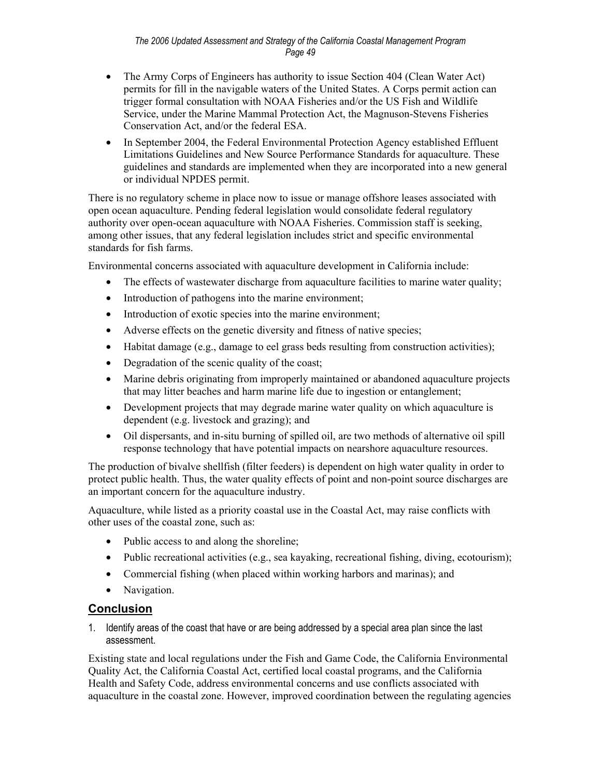- The Army Corps of Engineers has authority to issue Section 404 (Clean Water Act) permits for fill in the navigable waters of the United States. A Corps permit action can trigger formal consultation with NOAA Fisheries and/or the US Fish and Wildlife Service, under the Marine Mammal Protection Act, the Magnuson-Stevens Fisheries Conservation Act, and/or the federal ESA.
- In September 2004, the Federal Environmental Protection Agency established Effluent Limitations Guidelines and New Source Performance Standards for aquaculture. These guidelines and standards are implemented when they are incorporated into a new general or individual NPDES permit.

There is no regulatory scheme in place now to issue or manage offshore leases associated with open ocean aquaculture. Pending federal legislation would consolidate federal regulatory authority over open-ocean aquaculture with NOAA Fisheries. Commission staff is seeking, among other issues, that any federal legislation includes strict and specific environmental standards for fish farms.

Environmental concerns associated with aquaculture development in California include:

- The effects of wastewater discharge from aquaculture facilities to marine water quality;
- Introduction of pathogens into the marine environment;
- Introduction of exotic species into the marine environment;
- Adverse effects on the genetic diversity and fitness of native species;
- Habitat damage (e.g., damage to eel grass beds resulting from construction activities);
- Degradation of the scenic quality of the coast;
- Marine debris originating from improperly maintained or abandoned aquaculture projects that may litter beaches and harm marine life due to ingestion or entanglement;
- Development projects that may degrade marine water quality on which aquaculture is dependent (e.g. livestock and grazing); and
- Oil dispersants, and in-situ burning of spilled oil, are two methods of alternative oil spill response technology that have potential impacts on nearshore aquaculture resources.

The production of bivalve shellfish (filter feeders) is dependent on high water quality in order to protect public health. Thus, the water quality effects of point and non-point source discharges are an important concern for the aquaculture industry.

Aquaculture, while listed as a priority coastal use in the Coastal Act, may raise conflicts with other uses of the coastal zone, such as:

- Public access to and along the shoreline;
- Public recreational activities (e.g., sea kayaking, recreational fishing, diving, ecotourism);
- Commercial fishing (when placed within working harbors and marinas); and
- Navigation.

## **Conclusion**

1. Identify areas of the coast that have or are being addressed by a special area plan since the last assessment.

Existing state and local regulations under the Fish and Game Code, the California Environmental Quality Act, the California Coastal Act, certified local coastal programs, and the California Health and Safety Code, address environmental concerns and use conflicts associated with aquaculture in the coastal zone. However, improved coordination between the regulating agencies